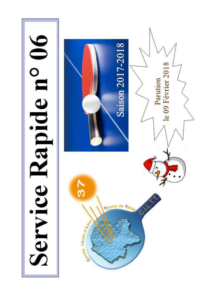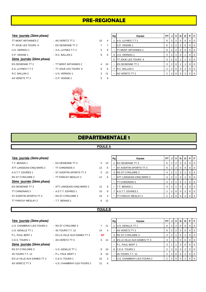# **PRE-REGIONALE**

#### **1ère** journée (2ème phase)

| TT MONT ARTANNES 2        | - AS VERETZ TT 2      | 10 | $\overline{4}$ |
|---------------------------|-----------------------|----|----------------|
| TT JOUE LES TOURS 6       | - ES OESIENNE TT 2    |    | 7              |
| U.S. VERNOU 1             | - A.S. LUYNES T.T 2   | 5  | 9              |
| C.P. VEIGNE 1             | - R.C. BALLAN 2       | 8  | 6              |
| 2ème journée (2ème phase) |                       |    |                |
| <b>ES OESIENNE TT 2</b>   | - TT MONT ARTANNES 2  | 4  | 10             |
| A.S. LUYNES T.T 2         | - TT JOUE LES TOURS 6 | 8  | 6              |
| R.C. BALLAN 2             | - U.S. VERNOU 1       | 3  | 11             |
| AS VERETZ TT 2            | $-$ C.P. VEIGNE 1     | 5  | 9              |

| 1ère journée (2ème phase) |                       |    |    | Rg | Equipe                      | PT I           |                | 'JIVI | N I      | D | PF             |                |
|---------------------------|-----------------------|----|----|----|-----------------------------|----------------|----------------|-------|----------|---|----------------|----------------|
| TT MONT ARTANNES 2        | - AS VERETZ TT 2      | 10 | 4  |    | A.S. LUYNES T.T 2           | 6              |                |       |          |   |                | $01$ 0         |
| TT JOUE LES TOURS 6       | - ES OESIENNE TT 2    |    |    |    | C.P. VEIGNE 1               | 6              |                |       |          |   |                | $01$ 0         |
| U.S. VERNOU 1             | - A.S. LUYNES T.T 2   | 5  | 9  |    | <b>TT MONT ARTANNES 2</b>   | 6              | 2 <sup>1</sup> |       |          |   |                | $01$ 0         |
| C.P. VEIGNE 1             | $-R.C. BALLAN 2$      | 8  | 6  | 4  | U.S. VERNOU 1               | $\overline{4}$ |                |       |          |   | $01$ 0         |                |
| 2ème journée (2ème phase) |                       |    |    | 5  | <b>ITT JOUE LES TOURS 6</b> | 3 <sup>1</sup> |                |       |          |   |                | 0 <sub>0</sub> |
| ES OESIENNE TT 2          | - TT MONT ARTANNES 2  | 4  | 10 |    | <b>IES OESIENNE TT 2</b>    | 3              | 2 <sub>1</sub> |       |          |   | $01$ 0         |                |
| A.S. LUYNES T.T 2         | - TT JOUE LES TOURS 6 | 8  | 6  |    | R.C. BALLAN 2               |                |                | 2 0   | $\Omega$ | 2 | 0 <sub>0</sub> |                |
| R.C. BALLAN 2             | - U.S. VERNOU 1       | 3  | 11 | ۰  | AS VERETZ TT 2              |                |                |       |          |   |                | 0 <sub>0</sub> |
|                           |                       |    |    |    |                             |                |                |       |          |   |                |                |

# **DEPARTEMENTALE 1**

#### **POULE A**

| 1ère journée (2ème phase) |                            |                   |    | Rg                       | Equipe                        | PT I |                |                |                | I J   V   N   D   P                                 |                | l Fi           |
|---------------------------|----------------------------|-------------------|----|--------------------------|-------------------------------|------|----------------|----------------|----------------|-----------------------------------------------------|----------------|----------------|
| T.T. BENAIS 1             | - ES OESIENNE TT 3         | 5                 | 13 |                          | <b>IES OESIENNE TT 3</b>      | 6    | 2              | $\overline{2}$ | 0 <sup>1</sup> | $\Omega$                                            | $\Omega$       | l O            |
| ATT LANGEAIS-CINQ MARS 2  | - TT CHINONAIS 3           | $12 \overline{ }$ | 6  |                          | <b>ST AVERTIN SPORTS TT 3</b> | 6    | '2.            | 2 <sup>1</sup> | $\overline{0}$ | $\overline{\phantom{0}}$ 0 $\overline{\phantom{0}}$ | $\overline{0}$ | <b>0</b>       |
| A S.T.T. ESVRES 1         | - ST AVERTIN SPORTS TT 3   | 5                 | 13 | 3                        | <b>RS ST CYR/LOIRE 2</b>      | 4    | 2              |                | $\mathbf{0}$   |                                                     | 0              | $\overline{0}$ |
| RS ST CYR/LOIRE 2         | - TT PARCAY MESLAY 2       | $12 \overline{ }$ | 6  |                          | ATT LANGEAIS-CINQ MARS 2      | 4    | 2              |                | $\mathbf{0}$   |                                                     | $\overline{0}$ | <b>0</b>       |
| 2ème journée (2ème phase) |                            |                   |    |                          | TT CHINONAIS 3                | 4    | 2              |                | $\overline{0}$ |                                                     | $\mathbf 0$    | $\overline{0}$ |
| ES OESIENNE TT 3          | - ATT LANGEAIS-CINQ MARS 2 | $12 \overline{ }$ | 6  |                          | T.T. BENAIS 1                 | 4    | $\overline{2}$ |                | $\Omega$       |                                                     | $\Omega$       | $\overline{0}$ |
| <b>TT CHINONAIS 3</b>     | - A S.T.T. ESVRES 1        | 10                | 8  |                          | A.S.T.T. ESVRES 1             | 2    | $\overline{2}$ | $\overline{0}$ | $\overline{0}$ | 2 <sub>1</sub>                                      | $\overline{0}$ | <b>0</b>       |
| ST AVERTIN SPORTS TT 3    | - RS ST CYR/LOIRE 2        | 15                | 3  | $\overline{\phantom{a}}$ | TT PARCAY MESLAY 2            | 2    |                | $\Omega$       |                |                                                     |                |                |
| TT PARCAY MESLAY 2        | - T.T. BENAIS 1            | 6                 | 12 |                          |                               |      |                |                |                |                                                     |                |                |

#### **POULE B**

| 1ère journée (2ème phase)  |                              |           |                |
|----------------------------|------------------------------|-----------|----------------|
| U.S. CHAMBRAY-LES-TOURS 2  | - RS ST CYR/LOIRE 3          | 7         | 11             |
| U.S. GENILLE TT 1          | - 4S TOURS T.T. 12           | 14        | $\overline{4}$ |
| P.L. PAUL BERT 1           | - ES LA VILLE AUX DAMES TT 3 | <b>NP</b> |                |
| C.E.S. TOURS 1             | - AS VERETZ TT 3             | 6         | 12             |
| 2ème journée (2ème phase)  |                              |           |                |
| <b>RS ST CYR/LOIRE 3</b>   | - U.S. GENILLE TT 1          | 8         | 10             |
| 4S TOURS T.T. 12           | - P.L. PAUL BERT 1           | 8         | 10             |
| ES LA VILLE AUX DAMES TT 3 | $-C.E.S. TOLRS 1$            | 15        | 3              |
| AS VERETZ TT 3             | - U.S. CHAMBRAY-LES-TOURS 2  | 12        | 6              |
|                            |                              |           |                |

| 1ère journée (2ème phase)  |                              |           |    | Rg | Equipe                              | <b>PT J V N</b> |                |  | D.       | PF             |                |
|----------------------------|------------------------------|-----------|----|----|-------------------------------------|-----------------|----------------|--|----------|----------------|----------------|
| U.S. CHAMBRAY-LES-TOURS 2  | - RS ST CYR/LOIRE 3          |           | 11 |    | U.S. GENILLE TT 1                   | 6               | $\overline{2}$ |  | $\Omega$ | $01$ 0         |                |
| U.S. GENILLE TT 1          | - 4S TOURS T.T. 12           | 14        | 4  |    | AS VERETZ TT 3                      | 6 I             | 2              |  | $\Omega$ | $01$ 0         |                |
| P.L. PAUL BERT 1           | - ES LA VILLE AUX DAMES TT 3 | <b>NP</b> |    |    | 3 <b>RS ST CYR/LOIRE 3</b>          | 4               | 2              |  |          |                | $0$   0        |
| C.E.S. TOURS 1             | - AS VERETZ TT 3             | 6         | 12 |    | 4 <b>ES LA VILLE AUX DAMES TT 3</b> | 3               |                |  | $\Omega$ | 0 <sub>0</sub> |                |
| 2ème journée (2ème phase)  |                              |           |    |    | P.L. PAUL BERT 1                    |                 |                |  | $\Omega$ | $01$ 0         |                |
| RS ST CYR/LOIRE 3          | - U.S. GENILLE TT 1          | 8         | 10 |    | 6 C.E.S. TOURS 1                    |                 |                |  | 2        | $01$ 0         |                |
| 4S TOURS T.T. 12           | - P.L. PAUL BERT 1           | 8         | 10 |    | 4S TOURS T.T. 12                    |                 |                |  | 2        | 0 <sub>0</sub> |                |
| ES LA VILLE AUX DAMES TT 3 | - C.E.S. TOURS 1             | 15        | 3  |    | U.S. CHAMBRAY-LES-TOURS 2           |                 |                |  |          |                | $\overline{0}$ |
|                            |                              |           |    |    |                                     |                 |                |  |          |                |                |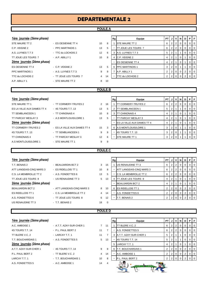#### **POULE A**

| 1ère journée (2ème phase)        |                              |              |                | Rg           | Equipe                     | PT             | J                | v                 | $\boldsymbol{\mathsf{N}}$ | D              | P              | F              |
|----------------------------------|------------------------------|--------------|----------------|--------------|----------------------------|----------------|------------------|-------------------|---------------------------|----------------|----------------|----------------|
| STE MAURE TT 2                   | - ES OESIENNE TT 4           | 10           | 8              | 1            | STE MAURE TT 2             | 6              | $\overline{c}$   | $\overline{2}$    | $\pmb{0}$                 | $\pmb{0}$      | $\mathbf 0$    | $\mathbf 0$    |
| C.P. VEIGNE 2                    | - PPC MARTINOIS 1            | 13           | 5              |              | TT JOUE LES TOURS 7        | 6              | $\mathbf 2$      | $\overline{2}$    | $\mathsf 0$               | $\mathbf 0$    | $\mathbf 0$    | $\mathbf 0$    |
| A.S. LUYNES T.T 3                | - TTC du LOCHOIS 2           | 12           | 6              | 3            | A.S. LUYNES T.T 3          | 5              | $\overline{c}$   | 1                 | $\mathbf{1}$              | $\mathbf 0$    | $\mathbf 0$    | 0              |
| TT JOUE LES TOURS 7              | - A.P. ABILLY 1              | 10           | 8              | 4            | C.P. VEIGNE 2              | $\overline{4}$ | $\overline{c}$   | 1                 | 0                         | 1              | $\mathbf 0$    | 0              |
| 2ème journée (2ème phase)        |                              |              |                |              | ES OESIENNE TT 4           | $\overline{4}$ | $\boldsymbol{2}$ | 1                 | $\mathsf 0$               | 1              | $\pmb{0}$      | $\mathbf 0$    |
| <b>ES OESIENNE TT 4</b>          | - C.P. VEIGNE 2              | 13           | 5              | 6            | <b>PPC MARTINOIS 1</b>     | 3              | $\overline{2}$   | 0                 | 1                         | $\mathbf{1}$   | $\pmb{0}$      | $\mathbf 0$    |
| PPC MARTINOIS 1                  | - A.S. LUYNES T.T 3          | 9            | 9              | 7            | A.P. ABILLY 1              | $\overline{2}$ | $\overline{2}$   | $\mathbf 0$       | 0                         | $\overline{2}$ | 0              | 0              |
| TTC du LOCHOIS 2                 | - TT JOUE LES TOURS 7        | 4            | 14             |              | TTC du LOCHOIS 2           | $\overline{2}$ | $\overline{2}$   | $\mathbf 0$       | 0                         | 2              | 0              | $\mathbf 0$    |
| A.P. ABILLY 1                    | - STE MAURE TT 2             | 8            | 10             |              |                            |                |                  |                   |                           |                |                |                |
|                                  |                              |              | <b>POULE B</b> |              |                            |                |                  |                   |                           |                |                |                |
| <u>1ère journée</u> (2ème phase) |                              |              |                | Rg           | Equipe                     | PT             | J                | v                 | Ν                         | D              | P              | ΙF             |
| STE MAURE TT 1                   | - TT CORMERY-TRUYES 2        | 2            | 16             |              | <b>TT CORMERY-TRUYES 2</b> | 6              | $\mathbf 2$      | $\mathbf 2$       | $\mathsf 0$               | $\pmb{0}$      | $\mathbf 0$    | $\mathbf 0$    |
| ES LA VILLE AUX DAMES TT 4       | - 4S TOURS T.T. 13           | 13           | 5              | 2            | <b>TT SEMBLANCEEN 1</b>    | 5              | $\mathbf 2$      | 1                 | 1                         | $\mathbf 0$    | $\pmb{0}$      | $\mathbf 0$    |
| TT SEMBLANCEEN 1                 | - TT CHINONAIS 4             | 10           | 8              | 3            | <b>TT CHINONAIS 4</b>      | $\overline{4}$ | $\overline{c}$   | 1                 | 0                         | 1              | $\mathbf 0$    | 0              |
| TT PARCAY MESLAY 3               | - A.S MONTLOUIS/LOIRE 1      | 13           | 5              |              | TT PARCAY MESLAY 3         | $\overline{4}$ | $\mathbf 2$      | 1                 | $\pmb{0}$                 | 1              | $\mathbf 0$    | 0              |
| 2ème journée (2ème phase)        |                              |              |                |              | ES LA VILLE AUX DAMES TT 4 | $\overline{4}$ | $\mathbf 2$      | 1                 | $\mathsf 0$               | $\mathbf{1}$   | $\pmb{0}$      | $\mathbf 0$    |
| TT CORMERY-TRUYES 2              | - ES LA VILLE AUX DAMES TT 4 | 15           | 3              | 6            | A.S MONTLOUIS/LOIRE 1      | 3              | $\overline{2}$   | $\pmb{0}$         | 1                         | 1              | $\pmb{0}$      | $\mathbf 0$    |
| 4S TOURS T.T. 13                 | - TT SEMBLANCEEN 1           | 9            | 9              |              | 4S TOURS T.T. 13           | 3              | $\overline{c}$   | 0                 | 1                         | 1              | $\mathbf 0$    | $\mathbf 0$    |
| <b>TT CHINONAIS 4</b>            | - TT PARCAY MESLAY 3         | 12           | 6              |              | STE MAURE TT 1             | 3              | $\overline{2}$   | $\pmb{0}$         | 1                         | 1              | $\mathbf 0$    | $\mathbf 0$    |
| A.S MONTLOUIS/LOIRE 1            | - STE MAURE TT 1             | 9            | 9              |              |                            |                |                  |                   |                           |                |                |                |
|                                  |                              |              | <b>POULE C</b> |              |                            |                |                  |                   |                           |                |                |                |
| 1ère journée (2ème phase)        |                              |              |                | Rg           | Equipe                     | PT             | J                | $\mathsf{v}$      | N                         | D              | P              | F              |
| T.T. BENAIS 2                    | - BEAUJARDIN BCT 2           | 3            | 15             | $\mathbf{1}$ | US RENAUDINE TT 3          | 6              | $\overline{c}$   | $\overline{2}$    | $\boldsymbol{0}$          | $\mathbf 0$    | $\mathbf 0$    | $\mathbf 0$    |
| ATT LANGEAIS-CINQ MARS 3         | - ES RIDELLOIS TT 1          | 10           | 8              |              | ATT LANGEAIS-CINQ MARS 3   | 6              | $\sqrt{2}$       | $\overline{2}$    | 0                         | $\mathbf 0$    | $\mathbf 0$    | 0              |
| C.S. LA MEMBROLLE TT 2           | - A.S. FONDETTES 6           | 13           | 5              |              | C.S. LA MEMBROLLE TT 2     | 6              | $\overline{2}$   | $\overline{2}$    | $\pmb{0}$                 | $\mathbf 0$    | $\mathbf 0$    | $\mathbf 0$    |
| TT JOUE LES TOURS 8              | - US RENAUDINE TT 3          | 5            | 13             | 4            | TT JOUE LES TOURS 8        | $\overline{4}$ | $\boldsymbol{2}$ | 1                 | $\mathsf 0$               | 1              | $\pmb{0}$      | $\mathbf 0$    |
| 2ème journée (2ème phase)        |                              |              |                |              | <b>BEAUJARDIN BCT 2</b>    | 4              | $\boldsymbol{2}$ |                   | $\mathbf 0$               | 1              | $\mathsf 0$    | $\mathbf 0$    |
| <b>BEAUJARDIN BCT 2</b>          | - ATT LANGEAIS-CINQ MARS 3   | 8            | 10             | 6            | <b>ES RIDELLOIS TT 1</b>   | $\overline{2}$ | $\overline{2}$   | $\mathbf 0$       | $\mathbf 0$               | $\overline{2}$ | $\mathbf 0$    | $\overline{0}$ |
| ES RIDELLOIS TT 1                | - C.S. LA MEMBROLLE TT 2     | 4            | 14             |              | A.S. FONDETTES 6           | 2              |                  | $2 \mid 0 \mid 0$ |                           | $\mathbf{2}$   | $0 \mid 0$     |                |
| A.S. FONDETTES 6                 | - TT JOUE LES TOURS 8        | 6            | 12             |              | T.T. BENAIS 2              | $\overline{2}$ | $\overline{2}$   | $\overline{0}$    | $\mathbf 0$               | 2              | $\overline{0}$ | $\overline{0}$ |
| US RENAUDINE TT 3                | - T.T. BENAIS 2              | 18           | 0              |              |                            |                |                  |                   |                           |                |                |                |
|                                  |                              |              | <b>POULE D</b> |              |                            |                |                  |                   |                           |                |                |                |
|                                  |                              |              |                |              |                            |                |                  |                   |                           |                |                |                |
| 1ère journée (2ème phase)        |                              |              |                | Rg           | Equipe                     | PТ             |                  |                   | N                         | D              | $P$ $F$        |                |
| A.C. AMBOISE 1                   | - A.T.T. AZAY-SUR-CHER 1     | $\mathbf{7}$ | 11             | $\mathbf{1}$ | TT BLERE V.C. 2            | 6              | $\overline{2}$   |                   |                           |                |                |                |

|                           |                          | .              |                |    |                           |      |   |                |                |    |   |     |
|---------------------------|--------------------------|----------------|----------------|----|---------------------------|------|---|----------------|----------------|----|---|-----|
|                           |                          |                |                |    |                           |      |   |                |                |    |   |     |
| 1ère journée (2ème phase) |                          |                |                | Rg | Equipe                    | PT I | J | V <sub>1</sub> | N I            | D. | P | I F |
| A.C. AMBOISE 1            | - A.T.T. AZAY-SUR-CHER 1 | $\overline{7}$ | 11             |    | TT BLERE V.C. 2           | 6    | 2 |                |                |    |   |     |
| 4S TOURS T.T. 14          | - P.L. PAUL BERT 2       | 11             | $\overline{7}$ |    | A.S. FONDETTES 5          | 6    | 2 | 2              | 0 <sup>1</sup> |    |   | - 0 |
| TT BLERE V.C. 2           | - LARCAY T.T. 1          | 11             | $\overline{7}$ |    | A.T.T. AZAY-SUR-CHER 1    | 5    | 2 |                |                |    |   | I 0 |
| T.T. BOUCHARDAIS 1        | - A.S. FONDETTES 5       | $5^{\circ}$    | 13             |    | 4S TOURS T.T. 14          | 5    | 2 |                |                |    |   | - 0 |
| 2ème journée (2ème phase) |                          |                |                | 5  | LARCAY T.T. 1             | 4    | 2 |                |                |    |   | - 0 |
| A.T.T. AZAY-SUR-CHER 1    | $-4S$ TOURS T.T. 14      | 9              | 9              |    | <b>T.T. BOUCHARDAIS 1</b> | 2    | 2 | $\overline{0}$ | $\overline{0}$ | 2  |   |     |
| P.L. PAUL BERT 2          | - TT BLERE V.C. 2        | 4              | 14             |    | A.C. AMBOISE 1            | 2    | 2 | $\Omega$       | $\overline{0}$ | 2  |   | - 0 |
| LARCAY T.T. 1             | - T.T. BOUCHARDAIS 1     | 10             | 8              |    | P.L. PAUL BERT 2          | 2    |   |                |                |    |   |     |
| A.S. FONDETTES 5          | - A.C. AMBOISE 1         | 14             |                |    | 公理                        |      |   |                |                |    |   |     |

|   | Rg | Equipe                 | PT             | J              | v              | N        | D | P        | F.       |
|---|----|------------------------|----------------|----------------|----------------|----------|---|----------|----------|
|   | 1  | TT BLERE V.C. 2        | 6              | 2              | 2              | 0        | 0 | 0        | $\Omega$ |
|   |    | A.S. FONDETTES 5       | 6              | 2              | $\overline{2}$ | 0        | 0 | 0        | 0        |
|   | 3  | A.T.T. AZAY-SUR-CHER 1 | 5              | 2              | 1              | 1        | 0 | 0        | 0        |
| š |    | 4S TOURS T.T. 14       | 5              | 2              | 1              | 1        | 0 | 0        | 0        |
|   | 5  | LARCAY T.T. 1          | 4              | 2              | 1              | 0        | 1 | 0        | $\Omega$ |
| J | 6  | T.T. BOUCHARDAIS 1     | 2              | $\overline{2}$ | 0              | 0        | 2 | 0        | $\Omega$ |
| ı |    | A.C. AMBOISE 1         | $\overline{2}$ | 2              | $\Omega$       | $\Omega$ | 2 | 0        | 0        |
| š |    | P.L. PAUL BERT 2       | 2              | 2              | $\Omega$       | 0        | 2 | $\Omega$ | $\Omega$ |
|   |    | ۹                      |                |                |                |          |   |          |          |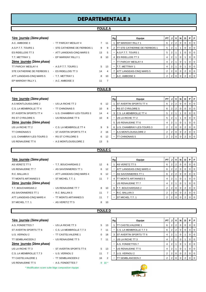#### **POULE A**

| 1ère journée (2ème phase)                       |                               |              |                | Rg           | Equipe                                 | PT             | J              | V              | N                   | D              | P              | F                       |
|-------------------------------------------------|-------------------------------|--------------|----------------|--------------|----------------------------------------|----------------|----------------|----------------|---------------------|----------------|----------------|-------------------------|
| A.C. AMBOISE 3                                  | - TT PARCAY MESLAY 4          | $\mathbf{7}$ | 11             | $\mathbf{1}$ | EP MARIGNY RILLY 1                     | 6              | 2 <sup>1</sup> | $\overline{2}$ | $\mathbf 0$         | $\Omega$       | $\mathbf 0$    | $\mathbf 0$             |
| A.S.P.T.T. TOURS 1                              | - STE CATHERINE DE FIERBOIS 1 | 9            | 9              | 2            | <b>ITT STE CATHERINE DE FIERBOIS 1</b> | 5              | 2 <sup>1</sup> | $\mathbf{1}$   | $\mathbf{1}$        | $\mathbf 0$    | $\mathbf 0$    | $\mathbf 0$             |
| ES RIDELLOIS TT 3                               | - ATT LANGEAIS-CINQ MARS 5    | 13           | 5              |              | A.S.P.T.T. TOURS 1                     | 5              | 2 <sup>1</sup> | $\overline{1}$ | $\overline{1}$      | $\mathbf 0$    | $\mathbf 0$    | $\mathbf 0$             |
| T.T. METTRAY 1                                  | - EP MARIGNY RILLY 1          | 8            | 10             |              | 4 <b>ES RIDELLOIS TT 3</b>             | 4              | 2 <sup>1</sup> | $\mathbf{1}$   | $\mathbf 0$         | $\overline{1}$ | $\mathbf 0$    | $\mathbf 0$             |
| 2ème journée (2ème phase)                       |                               |              |                |              | TT PARCAY MESLAY 4                     | 4              | 2 <sup>1</sup> | $\overline{1}$ | $\mathbf 0$         | $\mathbf{1}$   | $\mathbf 0$    | $\mathbf 0$             |
| TT PARCAY MESLAY 4                              | - A.S.P.T.T. TOURS 1          | 5            | 13             |              | T.T. METTRAY 1                         | 4              | 2 <sup>1</sup> | $\overline{1}$ | $\mathbf 0$         | $\mathbf{1}$   | $\mathbf 0$    | $\mathbf 0$             |
| STE CATHERINE DE FIERBOIS 1 - ES RIDELLOIS TT 3 |                               | 14           | 4              |              | 7 ATT LANGEAIS-CINQ MARS 5             | $\overline{2}$ | 2 <sub>1</sub> | $\mathbf 0$    | $\overline{0}$      | $\overline{2}$ | $\mathbf 0$    | $\overline{0}$          |
| ATT LANGEAIS-CINQ MARS 5                        | - T.T. METTRAY 1              | 8            | 10             |              | A.C. AMBOISE 3                         | $\overline{2}$ | 2 <sub>1</sub> | $\mathbf 0$    | $\mathbf 0$         | $\overline{2}$ | 0              | $\mathbf 0$             |
| EP MARIGNY RILLY 1                              | - A.C. AMBOISE 3              | 11           | 7              |              |                                        |                |                |                |                     |                |                |                         |
|                                                 |                               |              | <b>POULE B</b> |              |                                        |                |                |                |                     |                |                |                         |
| <u>1ère journée</u> (2ème phase)                |                               |              |                | Rg           | Equipe                                 | <b>PT</b>      | J              | V              | N                   | D              | P              | F                       |
| A.S MONTLOUIS/LOIRE 2                           | - US LA RICHE TT 2            | 6            | 12             | 1            | <b>ST AVERTIN SPORTS TT 4</b>          | 6              | 2 <sup>1</sup> | $\overline{2}$ | $\overline{0}$      | $\mathbf 0$    | $\Omega$       | $\overline{0}$          |
| C.S. LA MEMBROLLE TT 4                          | - TT CHINONAIS 5              | 10           | 8              |              | RS ST CYR/LOIRE 5                      | 6              | 2 <sup>1</sup> | 2              | $\overline{0}$      | $\mathbf 0$    | $\mathbf 0$    | $\mathbf 0$             |
| ST AVERTIN SPORTS TT 4                          | - U.S. CHAMBRAY-LES-TOURS 3   | 14           | 4              |              | 3 C.S. LA MEMBROLLE TT 4               | 5              | 2 <sup>1</sup> | $\mathbf{1}$   |                     | $\mathbf 0$    | $\mathbf 0$    | $\mathbf 0$             |
| RS ST CYR/LOIRE 5                               | - US RENAUDINE TT 6           | 10           | 8              |              | US LA RICHE TT 2                       | 5              | 2 <sup>1</sup> | $\overline{1}$ | $\mathbf{1}$        | $\mathbf 0$    | $\mathbf 0$    | $\mathbf 0$             |
| 2ème journée (2ème phase)                       |                               |              |                | 5            | US RENAUDINE TT 6                      | 4              | 2 <sup>1</sup> | $\overline{1}$ | $\mathbf 0$         | 1              | $\mathbf 0$    | $\mathbf 0$             |
| US LA RICHE TT 2                                | - C.S. LA MEMBROLLE TT 4      | 9            | 9              |              | U.S. CHAMBRAY-LES-TOURS 3              | $\overline{2}$ | 2 <sup>1</sup> | $\mathbf 0$    | $\mathbf 0$         | $\overline{2}$ | $\mathbf 0$    | $\mathbf 0$             |
| TT CHINONAIS 5                                  | - ST AVERTIN SPORTS TT 4      | 2            | 16             |              | A.S MONTLOUIS/LOIRE 2                  | $\overline{2}$ | 2 <sup>1</sup> | $\mathbf 0$    | $\mathbf 0$         | $\overline{2}$ | $\mathsf{O}$   | $\overline{0}$          |
| U.S. CHAMBRAY-LES-TOURS 3                       | - RS ST CYR/LOIRE 5           | 6            | 12             |              | <b>TT CHINONAIS 5</b>                  | $\overline{2}$ | 2 <sup>1</sup> | $\mathbf 0$    | $\mathbf 0$         | $\overline{2}$ | $\mathbf 0$    | $\overline{0}$          |
| US RENAUDINE TT 6                               | - A.S MONTLOUIS/LOIRE 2       | 13           | 5              |              |                                        |                |                |                |                     |                |                |                         |
|                                                 |                               |              | <b>POULE C</b> |              |                                        |                |                |                |                     |                |                |                         |
|                                                 |                               |              |                |              |                                        |                |                |                |                     |                |                |                         |
| <u>1ère journée</u> (2ème phase)                |                               |              |                | Rg           | Equipe                                 | PT             | $J \mid$       | $\mathsf{v}$   | N                   | D              | P              | F                       |
| AS VERETZ TT 5                                  | - T.T. BOUCHARDAIS 2          | 12           | 6              | $\mathbf{1}$ | AS VERETZ TT 5                         | 6              | 2 <sub>1</sub> | $\overline{2}$ | $\mathbf 0$         | $\mathbf 0$    | $\mathbf 0$    | $\mathbf 0$             |
| US RENAUDINE TT 7                               | - AS SAVONNIERES TT 1         | 6            | 12             |              | ATT LANGEAIS-CINQ MARS 4               | 6              | 2 <sub>1</sub> | $\overline{2}$ | $\mathbf 0$         | $\mathbf 0$    | $\mathbf 0$    | $\overline{0}$          |
| R.C. BALLAN 3                                   | - ATT LANGEAIS-CINQ MARS 4    | 6            | 12             |              | AS SAVONNIERES TT 1                    | 6              | $\overline{2}$ | $\overline{2}$ | $\mathbf 0$         | $\mathbf 0$    | $\mathbf 0$    | $\mathbf 0$             |
| TT MONTS ARTANNES 5                             | - ST MICHEL T.T. 1            | 11           | 7              | 4            | <b>TT MONTS ARTANNES 5</b>             | 4              | 2 <sup>1</sup> | $\overline{1}$ | $\mathbf 0$         | $\mathbf{1}$   | $\mathbf 0$    | $\mathbf 0$             |
| <u>2ème journée</u> (2ème phase)                |                               |              |                |              | US RENAUDINE TT 7                      | 4              | 2 <sub>1</sub> | $\overline{1}$ | $\mathbf 0$         | $\overline{1}$ | $\mathbf 0$    | $\mathbf 0$             |
| T.T. BOUCHARDAIS 2                              | - US RENAUDINE TT 7           | 8            | 10             |              | 6 T.T. BOUCHARDAIS 2                   | $\overline{2}$ | 2 <sup>2</sup> | $\mathbf 0$    | $\mathbf 0$         | $\overline{2}$ | $\mathsf 0$    | $\overline{0}$          |
| AS SAVONNIERES TT 1                             | - R.C. BALLAN 3               | 11           | 7              |              | R.C. BALLAN 3                          | 2 <sub>1</sub> |                |                | $2 \quad 0 \quad 0$ | 2 <sup>1</sup> | 0 <sub>0</sub> |                         |
| ATT LANGEAIS-CINQ MARS 4 FTT MONTS ARTANNES 5   |                               | 11           | $\overline{7}$ |              | ST MICHEL T.T. 1                       | $\overline{2}$ |                | $2 \ 0$        | $\overline{0}$      | $\overline{2}$ | $0$   0        |                         |
| ST MICHEL T.T. 1                                | - AS VERETZ TT 5              | 8            | 10             |              |                                        |                |                |                |                     |                |                |                         |
|                                                 |                               |              | <b>POULED</b>  |              |                                        |                |                |                |                     |                |                |                         |
|                                                 |                               |              |                |              |                                        |                |                |                |                     |                |                |                         |
| <u>1ère journée</u> (2ème phase)                |                               |              |                | Rg           | Equipe                                 | PT             | J              | $\mathsf{v}$   | N                   | D              | P              | F                       |
| A.S. FONDETTES 7                                | - US LA RICHE TT 3            |              | 5 13           | $\mathbf{1}$ | <b>TT CASTELVALERIE 1</b>              | 6              | 2 <sub>1</sub> | 2              | $\mathbf 0$         | $\mathbf 0$    | 0              | $\mathbf 0$             |
| ST AVERTIN SPORTS TT 6                          | - C.S. LA MEMBROLLE T.T 3     |              | 7 11           |              | C.S. LA MEMBROLLE T.T 3                | 6              | 2 <sub>1</sub> | $\overline{2}$ | $\mathbf 0$         | 0              | 0              | $\mathbf 0$             |
| U.S. VERNOU 2                                   | - TT CASTELVALERIE 1          | $\mathbf{0}$ | 18             |              | 3 ST AVERTIN SPORTS TT 6               | 4              | 2 <sup>2</sup> | $\overline{1}$ | 0                   | 1              | 0              | $\mathbf 0$             |
| TT SEMBLANCEEN 2                                | - US RENAUDINE TT 5           |              | 7 11           |              | US LA RICHE TT 3                       | 4              | 2 <sup>1</sup> | $\overline{1}$ | $\mathbf 0$         | $\mathbf{1}$   | 0              | $\mathbf 0$             |
| <u>2ème journée</u> (2ème phase)                |                               |              |                |              | A.S. FONDETTES 7                       | 4              | 2 <sup>1</sup> | $\overline{1}$ | $\mathbf 0$         | $\mathbf{1}$   | 0              | $\overline{0}$          |
| US LA RICHE TT 3                                | - ST AVERTIN SPORTS TT 6      |              | 5 13           |              | US RENAUDINE TT 5                      | 4              | 2 <sup>1</sup> | $\overline{1}$ | $\mathbf 0$         | 1              | 0              | $\mathbf 0$             |
| C.S. LA MEMBROLLE T.T 3                         | - U.S. VERNOU 2               | 11           | 7              | 7            | U.S. VERNOU 2                          | 2              | 2 <sub>1</sub> | 0              | 0                   | $\overline{2}$ | 0              | $\overline{0}$          |
| TT CASTELVALERIE 1                              | - TT SEMBLANCEEN 2            | 16           | 2              |              | TT SEMBLANCEEN 2                       | $\overline{2}$ |                | $2 \mid 0$     | $\mathbf 0$         | $\overline{2}$ | $\mathbf 0$    | $\overline{\mathbf{0}}$ |
| US RENAUDINE TT 5                               | - A.S. FONDETTES 7            |              | $8 \t10^*$     |              |                                        |                |                |                |                     |                |                |                         |

\* Modification score suite litige composition équipe

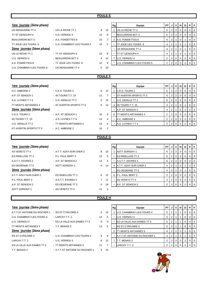| 1ère journée (2ème phase)  |                             |          |                | Rg | Equipe                    | PT             | J              | V              | N           | D              | P              | F           |
|----------------------------|-----------------------------|----------|----------------|----|---------------------------|----------------|----------------|----------------|-------------|----------------|----------------|-------------|
| US RENAUDINE TT 4          | - US LA RICHE TT 1          | 8        | 10             | 1  | US LA RICHE TT 1          | 6              | $\overline{2}$ | $\overline{2}$ | $\mathbf 0$ | $\mathbf 0$    | $\mathbf 0$    | $\Omega$    |
| TT ST GENOUPH 4            | - U.S. VERNOU 4             | 12       | 6              |    | <b>BEAUJARDIN BCT 3</b>   | 6              | $\overline{2}$ | $\overline{2}$ | $\mathbf 0$ | $\mathbf 0$    | $\mathbf 0$    | $\mathbf 0$ |
| <b>BEAUJARDIN BCT 3</b>    | - A.S. FONDETTES 8          | 15       | 3              |    | 3 A.S. FONDETTES 8        | 4              | $\overline{2}$ | $\mathbf{1}$   | $\mathbf 0$ | $\mathbf{1}$   | $\mathbf 0$    | $\mathbf 0$ |
| TT JOUE LES TOURS 9        | - U.S. CHAMBRAY-LES-TOURS 5 | 16       | $\overline{2}$ |    | TT JOUE LES TOURS 9       | $\overline{4}$ | $\overline{2}$ | 1              | $\pmb{0}$   | $\mathbf{1}$   | $\mathbf 0$    | $\mathbf 0$ |
| 2ème journée (2ème phase)  |                             |          |                |    | US RENAUDINE TT 4         | $\overline{4}$ | $\overline{2}$ | $\mathbf{1}$   | $\mathbf 0$ | $\mathbf{1}$   | $\mathbf 0$    | $\Omega$    |
| US LA RICHE TT 1           | - TT ST GENOUPH 4           | 10       | 8              |    | <b>TT ST GENOUPH 4</b>    | $\overline{4}$ | $\overline{2}$ | $\overline{1}$ | $\mathbf 0$ | $\mathbf{1}$   | $\mathbf 0$    | $\mathbf 0$ |
| U.S. VERNOU 4              | - BEAUJARDIN BCT 3          | 4        | 14             |    | 7 U.S. VERNOU 4           | $\overline{2}$ | $\overline{2}$ | $\mathbf 0$    | $\mathbf 0$ | $\overline{2}$ | $\mathbf 0$    | $\mathbf 0$ |
| A.S. FONDETTES 8           | - TT JOUE LES TOURS 9       | 12       | 6              |    | U.S. CHAMBRAY-LES-TOURS 5 | $\overline{2}$ | $\overline{2}$ | $\mathbf 0$    | $\mathbf 0$ | $\overline{2}$ | $\mathbf 0$    | $\Omega$    |
| U.S. CHAMBRAY-LES-TOURS 5  | - US RENAUDINE TT 4         | 0        | 18             |    |                           |                |                |                |             |                |                |             |
|                            |                             |          | <b>POULE F</b> |    |                           |                |                |                |             |                |                |             |
|                            |                             |          |                |    |                           |                |                |                |             |                |                |             |
| 1ère journée (2ème phase)  |                             |          |                | Rg | Equipe                    | PT             | J              | $\mathbf v$    | N           | D              | P              | F           |
| A.C. AMBOISE 2             | - C.E.S. TOURS 2            | 6        | 12             |    | 1 C.E.S. TOURS 2          | 6              | $\overline{2}$ | $\overline{2}$ | $\mathbf 0$ | $\mathbf 0$    | $\mathbf 0$    | $\Omega$    |
| A.P. ST SENOCH 1           | - 4S TOURS T.T. 15          | 11       | $\overline{7}$ |    | ST AVERTIN SPORTS TT 5    | 6              | $\overline{2}$ | $\overline{2}$ | $\mathbf 0$ | $\mathbf 0$    | $\mathbf 0$    | $\mathbf 0$ |
| A.S. LUYNES T.T 4          | - U.S. GENILLE TT 2         | 5        | 13             |    | <b>U.S. GENILLE TT 2</b>  | 6              | $\overline{2}$ | $\overline{2}$ | $\mathbf 0$ | $\mathbf 0$    | $\mathbf 0$    | $\mathbf 0$ |
| <b>TT MONTS ARTANNES 4</b> | - ST AVERTIN SPORTS TT 5    | 5        | 13             |    | 4 4S TOURS T.T. 15        | 4              | $\overline{2}$ | 1              | $\mathbf 0$ | $\mathbf{1}$   | $\mathbf 0$    | $\mathbf 0$ |
| 2ème journée (2ème phase)  |                             |          |                |    | A.P. ST SENOCH 1          | $\overline{4}$ | $\overline{2}$ | $\mathbf{1}$   | $\mathbf 0$ | $\mathbf{1}$   | $\mathbf 0$    | $\mathbf 0$ |
| C.E.S. TOURS 2             | - A.P. ST SENOCH 1          | 10       | 8              |    | 6 TT MONTS ARTANNES 4     | $\overline{2}$ | $\overline{2}$ | $\mathbf 0$    | $\mathbf 0$ | $\overline{2}$ | $\mathbf 0$    | $\mathbf 0$ |
| 4S TOURS T.T. 15           | - A.S. LUYNES T.T 4         | 14       | 4              |    | - A.C. AMBOISE 2          | $\overline{2}$ | $\overline{a}$ | $\mathbf 0$    | $\mathbf 0$ | $\overline{2}$ | 0              | 0           |
| U.S. GENILLE TT 2          | - TT MONTS ARTANNES 4       | 14       | 4              |    | - A.S. LUYNES T.T 4       | $\overline{2}$ | $\overline{2}$ | $\mathbf 0$    | $\mathbf 0$ | $\overline{2}$ | $\mathbf 0$    | $\Omega$    |
| ST AVERTIN SPORTS TT 5     | - A.C. AMBOISE 2            | 16       | 2              |    |                           |                |                |                |             |                |                |             |
|                            |                             |          | <b>POULE G</b> |    |                           |                |                |                |             |                |                |             |
|                            |                             |          |                |    |                           |                |                |                |             |                |                |             |
| 1ère journée (2ème phase)  |                             |          |                | Rg | Equipe                    | PT             | J              | v              | N           | D              | P              | F           |
| AS VERETZ TT 4             | - A.T.T. AZAY-SUR-CHER 2    | 8        | 10             |    | 1 ASTT SORIGNY 1          | 6              | $\overline{2}$ | $\overline{2}$ | $\mathbf 0$ | $\mathbf 0$    | $\overline{0}$ | $\Omega$    |
| ES RIDELLOIS TT 2          | - P.L. PAUL BERT 3          | 13       | 5              |    | <b>ES RIDELLOIS TT 2</b>  | 6              | $\overline{2}$ | $\overline{2}$ | $\mathbf 0$ | $\mathbf 0$    | $\mathbf 0$    | $\mathbf 0$ |
| A.S.T.T. ESVRES 2          | - A.P. ST SENOCH 2          | 14       | 4              |    | A.S.T.T. ESVRES 2         | 6              | $\overline{a}$ | $\overline{2}$ | $\mathbf 0$ | $\mathbf 0$    | $\mathbf 0$    | $\mathbf 0$ |
| <b>ES OESIENNE TT 5</b>    | - ASTT SORIGNY 1            | 4        | 14             |    | 4 A.T.T. AZAY-SUR-CHER 2  | $\overline{4}$ | $\overline{2}$ | $\mathbf{1}$   | $\mathbf 0$ | $\mathbf{1}$   | $\mathbf 0$    | $\Omega$    |
| 2ème journée (2ème phase)  |                             |          |                |    | <b>ES OESIENNE TT 5</b>   | $\overline{4}$ | $\overline{2}$ | $\overline{1}$ | $\mathbf 0$ | $\overline{1}$ | $\mathbf 0$    | $\Omega$    |
| A.T.T. AZAY-SUR-CHER 2     | - ES RIDELLOIS TT 2         | 6        | 12             |    | 6 P.L. PAUL BERT 3        | $\overline{2}$ | $\overline{2}$ | $\mathbf 0$    | $\mathbf 0$ | $\overline{2}$ | $\mathbf 0$    | $\mathbf 0$ |
| P.L. PAUL BERT 3           | - A.S.T.T. ESVRES 2         | 7        | 11             |    | - AS VERETZ TT 4          | $\overline{2}$ | $\overline{2}$ | $\mathbf 0$    | $\mathbf 0$ | $\overline{2}$ | $\mathbf 0$    | $\mathbf 0$ |
| A.P. ST SENOCH 2           | - ES OESIENNE TT 5          | $\Omega$ | 18             |    | A.P. ST SENOCH 2          | $\overline{2}$ |                | $2 \mid 0$     | $\mathbf 0$ | $\overline{2}$ | $\mathbf 0$    | $\Omega$    |

| 1ère journée (2ème phase)                        |                                |    |    |
|--------------------------------------------------|--------------------------------|----|----|
| A.T.T.ST ANTOINE DU ROCHER 1 - RS ST CYR/LOIRE 4 |                                | 3  | 15 |
| U.S. CHAMBRAY-LES-TOURS 4                        | - LARCAY T.T. 2                | 13 | 5  |
| U.S. VERNOU 3                                    | - ES LA VILLE AUX DAMES TT 5   | 9  | 9  |
| TT MONTS ARTANNES 3                              | - T.T. BENAIS 3                | 13 | 5  |
| <u>2ème journée (2ème phase)</u>                 |                                |    |    |
| RS ST CYR/LOIRE 4                                | - U.S. CHAMBRAY-LES-TOURS 4    | 9  | 9  |
| LARCAY T.T. 2                                    | - U.S. VERNOU 3                | 6  | 12 |
| ES LA VILLE AUX DAMES TT 5                       | - TT MONTS ARTANNES 3          | 11 | 7  |
| T.T. BENAIS 3                                    | - A.T.T.ST ANTOINE DU ROCHER 1 | 3  | 15 |
|                                                  |                                |    |    |

ASTT SORIGNY 1 - AS VERETZ TT 4 13 5

| <u>1ère journée</u> (2ème phase) |                              |    |    | Rg | Equipe                            | PT I |                |          | JVN | D              | <b>P</b> F     |                |
|----------------------------------|------------------------------|----|----|----|-----------------------------------|------|----------------|----------|-----|----------------|----------------|----------------|
| A.T.T.ST ANTOINE DU ROCHER 1     | - RS ST CYR/LOIRE 4          | 3  | 15 |    | U.S. CHAMBRAY-LES-TOURS 4         | 5    | 2 <sub>1</sub> |          |     | 0              | $01$ 0         |                |
| U.S. CHAMBRAY-LES-TOURS 4        | - LARCAY T.T. 2              | 13 | 5  |    | U.S. VERNOU 3                     | 5    | $\overline{2}$ |          |     | 0              | $01$ 0         |                |
| U.S. VERNOU 3                    | - ES LA VILLE AUX DAMES TT 5 | 9  | 9  |    | <b>ES LA VILLE AUX DAMES TT 5</b> | 5    | 2              |          |     |                | $01$ 0         |                |
| TT MONTS ARTANNES 3              | - T.T. BENAIS 3              | 13 | 5  |    | <b>RS ST CYR/LOIRE 4</b>          | 5    |                |          |     |                | $01$ 0         |                |
| <u>2ème journée</u> (2ème phase) |                              |    |    | 5  | TT MONTS ARTANNES 3               |      | 2 <sub>1</sub> |          |     |                | $\overline{0}$ | $\overline{0}$ |
| RS ST CYR/LOIRE 4                | - U.S. CHAMBRAY-LES-TOURS 4  | 9  | -9 |    | A.T.T.ST ANTOINE DU ROCHER 1      |      | 2              |          |     |                | $01$ 0         |                |
| LARCAY T.T. 2                    | - U.S. VERNOU 3              | 6  | 12 |    | <b>IT.T. BENAIS 3</b>             |      | 2 <sub>1</sub> | $\Omega$ |     | $\overline{2}$ | 0 <sub>0</sub> |                |
| ES LA VILLE AUX DAMES TT 5       | - TT MONTS ARTANNES 3        | 11 |    |    | LARCAY T.T. 2                     |      | 2              | $\Omega$ |     | っ              | $01$ 0         |                |



| Rg | Equipe                   | PТ             |                | v              | N        | D        | Р        | F        |
|----|--------------------------|----------------|----------------|----------------|----------|----------|----------|----------|
| 1  | <b>ASTT SORIGNY 1</b>    | 6              | $\overline{2}$ | 2              | $\Omega$ | $\Omega$ | 0        | 0        |
|    | <b>ES RIDELLOIS TT 2</b> | 6              | 2              | $\overline{2}$ | $\Omega$ | $\Omega$ | $\Omega$ | $\Omega$ |
|    | A.S.T.T. ESVRES 2        | 6              | $\overline{2}$ | $\overline{2}$ | $\Omega$ | $\Omega$ | 0        | 0        |
| 4  | A.T.T. AZAY-SUR-CHER 2   | 4              | $\overline{2}$ |                | $\Omega$ | 1        | 0        | $\Omega$ |
| -  | <b>ES OESIENNE TT 5</b>  | 4              | 2              |                | 0        |          | 0        | $\Omega$ |
| 6  | P.L. PAUL BERT 3         | 2              | 2              | 0              | 0        | 2        | 0        | 0        |
|    | <b>AS VERETZ TT 4</b>    | $\overline{2}$ | $\overline{2}$ | 0              | 0        | 2        | 0        | 0        |
|    | A.P. ST SENOCH 2         | 2              |                | O              | 0        | っ        | 0        | 0        |

#### **POULE H**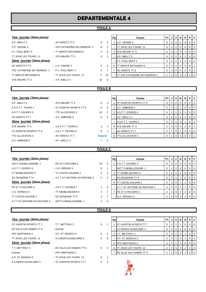### **POULE A**

| <u>1ère journée</u> (2ème phase) |  |
|----------------------------------|--|
|----------------------------------|--|

| A.P. ABILLY 3                                  | - AS VERETZ TT 6              | 6             | $\overline{4}$ |
|------------------------------------------------|-------------------------------|---------------|----------------|
| C.P. VEIGNE 3                                  | - STE CATHERINE DE FIERBOIS 2 | 8             | $\overline{2}$ |
| P.L. PAUL BERT 4                               | - TT MONTS ARTANNES 6         | 2             | 8              |
| TT JOUE LES TOURS 11                           | - STE MAURE TT 3              | 9             | $\mathbf{1}$   |
| 2ème journée (2è <i>me phase)</i>              |                               |               |                |
| AS VERETZ TT 6                                 | - C.P. VEIGNE 3               | $\mathcal{P}$ | -8             |
| STE CATHERINE DE FIERBOIS 2 - P.L. PAUL BERT 4 |                               | 3             | 7              |
| TT MONTS ARTANNES 6                            | - TT JOUE LES TOURS 11        | F             | 10             |
| STE MAURE TT 3                                 | - A.P. ABILLY 3               | 10            | 0              |
|                                                |                               |               |                |

| 1ère journée (2ème phase)                      |                               |                |                | Rg | Equipe                                 | <b>PT J V N</b> |                   |          | D I      | PF     |                |
|------------------------------------------------|-------------------------------|----------------|----------------|----|----------------------------------------|-----------------|-------------------|----------|----------|--------|----------------|
| A.P. ABILLY 3                                  | - AS VERETZ TT 6              | 6              | 4              |    | C.P. VEIGNE 3                          | 6               | $2 \mid 2$        |          | 0        | $01$ 0 |                |
| C.P. VEIGNE 3                                  | - STE CATHERINE DE FIERBOIS 2 | 8              | $\overline{2}$ |    | <b>ITT JOUE LES TOURS 11</b>           | 6               | 212               |          |          |        | $01$ 0         |
| P.L. PAUL BERT 4                               | - TT MONTS ARTANNES 6         | $\overline{2}$ | 8              |    | <b>ISTE MAURE TT 3</b>                 |                 |                   |          |          |        | $0$   0        |
| TT JOUE LES TOURS 11                           | - STE MAURE TT 3              | 9              |                |    | A.P. ABILLY 3                          | 4               |                   |          |          |        | $01$ 0         |
| 2ème journée (2ème phase)                      |                               |                |                |    | <b>P.L. PAUL BERT 4</b>                |                 |                   |          |          |        | 0 <sub>0</sub> |
| AS VERETZ TT 6                                 | $-C.P.$ VEIGNE 3              | $\overline{2}$ | 8              |    | 6 TT MONTS ARTANNES 6                  | 3               | 2                 |          | $\Omega$ | 0'     |                |
| STE CATHERINE DE FIERBOIS 2 - P.L. PAUL BERT 4 |                               | 3              |                |    | AS VERETZ TT 6                         |                 | $2 \mid 2 \mid 0$ | $\Omega$ | 2        | $01$ 0 |                |
| TT MONTS ARTANNES 6                            | - TT JOUE LES TOURS 11        |                | 10             |    | <b>ITT STE CATHERINE DE FIERBOIS 2</b> |                 |                   |          |          |        | $01$ 0         |
|                                                |                               |                |                |    |                                        |                 |                   |          |          |        |                |

#### **POULE B**

| 1ère journée (2ème phase) |                          |         | Rg | Equipe                        | <b>PT</b> | J              |                | VINI | D | Р               | F |
|---------------------------|--------------------------|---------|----|-------------------------------|-----------|----------------|----------------|------|---|-----------------|---|
| A.P. ABILLY 2             | - STE MAURE TT 4         | 6<br>4  |    | <b>ST AVERTIN SPORTS TT 8</b> | 6         | $\overline{2}$ | 2 <sub>1</sub> |      |   |                 |   |
| A S.P.T.T. TOURS 2        | - ST AVERTIN SPORTS TT 8 | 6<br>4  |    | A.C. AMBOISE 6                | 5         | 2              |                |      |   | 0 <sub>10</sub> |   |
| A.S.T.T. ESVRES 3         | - TTC du LOCHOIS 3       | 10<br>F | 3  | A.S.T.T. ESVRES 3             | 4         | $\overline{2}$ |                |      |   | 0 1 0           |   |
| AS VERETZ TT 7            | $-$ A.C. AMBOISE 6       | 5<br>5  |    | A.P. ABILLY 2                 | 4         | $\overline{2}$ |                |      |   | 0 <sub>10</sub> |   |
| 2ème journée (2ème phase) |                          |         |    | A.S.P.T.T. TOURS 2            | 4         | 2              |                |      |   | 0 <sub>1</sub>  |   |
| STE MAURE TT 4            | - A.S.P.T.T. TOURS 2     | 3<br>7  | 6  | <b>STE MAURE TT 4</b>         | 2         | 2              | $\overline{0}$ |      |   | 0 <sub>10</sub> |   |
| ST AVERTIN SPORTS TT 8    | - A.S.T.T. ESVRES 3      | 9       |    | AS VERETZ TT 7                | 2         |                | $\mathbf{0}$   |      |   | 0 1 0           |   |
| TTC du LOCHOIS 3          | - AS VERETZ TT 7         | Reporté | 8  | <b>ITTC du LOCHOIS 3</b>      |           |                |                |      |   |                 |   |
| A.C. AMBOISE 6            | $-$ A.P. ABILLY 2        | 3       |    |                               |           |                |                |      |   |                 |   |
|                           |                          |         |    |                               |           |                |                |      |   |                 |   |

| Rg | Equipe                 | PT       | J              | ν              | N        | D        | Р        | F        |
|----|------------------------|----------|----------------|----------------|----------|----------|----------|----------|
|    | ST AVERTIN SPORTS TT 8 | 6        | 2              | $\overline{2}$ | $\Omega$ | $\Omega$ | 0        | $\Omega$ |
| 2  | A.C. AMBOISE 6         | 5        | 2              | 1              | 1        | $\Omega$ | 0        | $\Omega$ |
| 3  | A.S.T.T. ESVRES 3      | 4        | 2              | 1              | $\Omega$ | 1        | $\Omega$ | $\Omega$ |
|    | A.P. ABILLY 2          | 4        | $\overline{2}$ |                | $\Omega$ |          | $\Omega$ | 0        |
|    | A.S.P.T.T. TOURS 2     | 4        | 2              |                | $\Omega$ | 1        | 0        | 0        |
| 6  | STE MAURE TT 4         | 2        | $\overline{2}$ | $\Omega$       | 0        | 2        | 0        | 0        |
|    | AS VERETZ TT 7         | 2        |                | $\Omega$       | 1        | $\Omega$ | 0        | $\Omega$ |
| 8  | TTC du LOCHOIS 3       | $\Omega$ |                | O              | $\Omega$ | $\Omega$ | $\Omega$ | 1        |
|    |                        |          |                |                |          |          |          |          |

### **POULE C**

| <u>1ère journée</u> (2ème phase) |                                |                |          | Rg | Equipe                       | PT I | J              |             | VINI        | D | <b>P</b> IF |                |
|----------------------------------|--------------------------------|----------------|----------|----|------------------------------|------|----------------|-------------|-------------|---|-------------|----------------|
| ASTT CHEMILLE/DEME 1             | - RS ST CYR/LOIRE 6            | 10             | $\Omega$ |    | A.S.T.T. ESVRES 4            | 6    | 2              |             |             | 0 |             | $01$ 0         |
| A S.T.T. ESVRES 4                | - U.S. VERNOU 5                | 9              |          | ۰  | <b>ASTT CHEMILLE/DEME 1</b>  | 6    | 2              | 2           | 0           | 0 |             | $0$   $0$      |
| <b>TT SEMBLANCEEN 3</b>          | - TT CASTELVALERIE 2           | 5              | -5       | 3  | <b>ITT SEMBLANCEEN 3</b>     | 5    | 2              |             |             | 0 |             | $0$   $0$      |
| ES OESIENNE TT 6                 | - A.T.T.ST ANTOINE DU ROCHER 3 | 5              | -5       | ۰  | <b>IES OESIENNE TT 6</b>     | 5    |                |             |             | 0 |             | $0$   $0$      |
| 2ème journée (2ème phase)        |                                |                |          | 5  | <b>ITT CASTELVALERIE 2</b>   | 3    | 2              | 0           |             |   |             | 0 <sub>0</sub> |
| <b>RS ST CYR/LOIRE 6</b>         | - A.S.T.T. ESVRES 4            | $\overline{4}$ | -6       |    | A.T.T.ST ANTOINE DU ROCHER 3 | 3    | $\overline{2}$ | 0           |             |   |             | 0 <sub>0</sub> |
| U.S. VERNOU 5                    | - TT SEMBLANCEEN 3             | 3              |          |    | <b>RS ST CYR/LOIRE 6</b>     |      | $\overline{2}$ | $\mathbf 0$ | $\mathbf 0$ | 2 |             | $01$ 0         |
| TT CASTELVALERIE 2               | - ES OESIENNE TT 6             | 3              |          | ۰  | U.S. VERNOU 5                |      | $\overline{2}$ |             |             | 2 |             | $01$ 0         |
| A.T.T.ST ANTOINE DU ROCHER 3     | - ASTT CHEMILLE/DEME 1         | 2              | -8       |    |                              |      |                |             |             |   |             |                |

### **POULE D**

| 1ere journee (zeme phase)         |                           |   |                |
|-----------------------------------|---------------------------|---|----------------|
| ST AVERTIN SPORTS TT 7            | - T.T. METTRAY 3          | 9 | 1              |
| ES VILLE AUX DAMES TT 6           | - Exempt                  |   |                |
| PPC MARTINOIS 2                   | - A.P. ST SENOCH 3        | 8 | $\overline{2}$ |
| TT JOUE LES TOURS 12              | - A.S MONTLOUIS/LOIRE 3   | 2 | 8              |
| 2ème journée (2è <i>me phase)</i> |                           |   |                |
| T.T. METTRAY 3                    | - ES VILLE AUX DAMES TT 6 | 6 | $\overline{4}$ |
| Exempt                            | - PPC MARTINOIS 2         |   |                |
| A.P. ST SENOCH 3                  | - TT JOUE LES TOURS 12    | 9 | $\mathbf{1}$   |
| A.S MONTLOUIS/LOIRE 3             | - ST AVERTIN SPORTS TT 7  | 5 | 5              |

| <u>1ère journée</u> (2ème phase) |                           |                |   | Rg | Equipe                          | <b>PTIJIVIN</b> |                |    |          | D        | PIF            |                |
|----------------------------------|---------------------------|----------------|---|----|---------------------------------|-----------------|----------------|----|----------|----------|----------------|----------------|
| ST AVERTIN SPORTS TT 7           | - T.T. METTRAY 3          | 9              |   |    | <b>IST AVERTIN SPORTS TT 7</b>  |                 |                |    |          | 0        |                | 0 0            |
| ES VILLE AUX DAMES TT 6          | - Exempt                  |                |   |    | A.S MONTLOUIS/LOIRE 3           |                 | 2 <sup>1</sup> |    |          | 0        | $01$ 0         |                |
| PPC MARTINOIS 2                  | - A.P. ST SENOCH 3        | 8              | 2 |    | <b>T.T. METTRAY 3</b>           |                 | 2              |    |          |          | $01$ 0         |                |
| TT JOUE LES TOURS 12             | - A.S MONTLOUIS/LOIRE 3   | $\overline{2}$ | 8 |    | A.P. ST SENOCH 3                |                 | 2 <sub>1</sub> |    |          |          |                | $\overline{0}$ |
| 2ème journée (2ème phase)        |                           |                |   | 5  | <b>PPC MARTINOIS 2</b>          |                 |                |    | $\Omega$ | $\Omega$ | 0 <sup>1</sup> |                |
| T.T. METTRAY 3                   | - ES VILLE AUX DAMES TT 6 | 6              |   |    | TT JOUE LES TOURS 12            |                 |                | 20 | $\Omega$ | 2        | 0 <sup>1</sup> |                |
| Exempt                           | - PPC MARTINOIS 2         |                |   |    | <b>IES VILLE AUX DAMES TT 6</b> |                 |                |    |          |          |                | $\overline{0}$ |

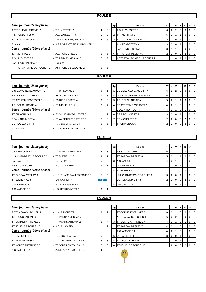| ۱U<br>ш. |  |
|----------|--|
|          |  |

| 1ère journée (2ème phase)                           |                                |                |                | Rg                        | Equipe                          | PT                      | J                       | ٧              | N            | D              | P              | F           |
|-----------------------------------------------------|--------------------------------|----------------|----------------|---------------------------|---------------------------------|-------------------------|-------------------------|----------------|--------------|----------------|----------------|-------------|
| <b>ASTT CHEMILLE/DEME 2</b>                         | - T.T. METTRAY 2               | 4              | 6              | $\mathbf{1}$              | A.S. LUYNES T.T 5               | 6                       | $\overline{c}$          | $\overline{2}$ | $\mathbf 0$  | $\mathbf 0$    | $\mathbf 0$    | $\mathbf 0$ |
| A.S. FONDETTES 9                                    | - A.S. LUYNES T.T 5            |                | 9              |                           | 2 T.T. METTRAY 2                | 5                       | $\overline{2}$          | $\mathbf{1}$   | $\mathbf{1}$ | $\mathbf 0$    | $\mathbf 0$    | $\mathbf 0$ |
| TT PARCAY MESLAY 5                                  | - LANGEAIS-CINQ MARS 6         | 4              | 6              |                           | 3 ASTT CHEMILLE/DEME 2          | 3                       | $\overline{2}$          | $\pmb{0}$      | 1            | $\mathbf{1}$   | $\mathbf 0$    | $\mathbf 0$ |
| Exempt                                              | - A.T.T.ST ANTOINE DU ROCHER 2 |                |                |                           | A.S. FONDETTES 9                | 3                       | 2                       | $\mathbf 0$    | $\mathbf{1}$ | $\mathbf{1}$   | $\mathbf 0$    | $\mathbf 0$ |
| 2ème journée (2ème phase)                           |                                |                |                |                           | LANGEAIS-CINQ MARS 6            | 3                       | $\mathbf{1}$            | $\mathbf{1}$   | $\mathbf 0$  | $\mathbf 0$    | $\mathbf 0$    | $\mathbf 0$ |
| T.T. METTRAY 2                                      | - A.S. FONDETTES 9             | 5              | 5              |                           | 6 TT PARCAY MESLAY 5            | $\overline{2}$          | $\overline{2}$          | $\mathbf 0$    | $\mathbf 0$  | $\overline{2}$ | $\mathbf 0$    | $\mathbf 0$ |
| A.S. LUYNES T.T 5                                   | - TT PARCAY MESLAY 5           | 7              | 3              |                           | A.T.T.ST ANTOINE DU ROCHER 2    | $\overline{2}$          |                         | $\mathbf 0$    |              | $\mathbf 0$    | $\mathbf 0$    | $\Omega$    |
| LANGEAIS-CINQ MARS 6                                | - Exempt                       |                |                |                           |                                 |                         |                         |                |              |                |                |             |
| A.T.T.ST ANTOINE DU ROCHER 2 - ASTT CHEMILLE/DEME 2 |                                | 5              | 5              |                           |                                 |                         |                         |                |              |                |                |             |
|                                                     |                                | <b>POULE F</b> |                |                           |                                 |                         |                         |                |              |                |                |             |
|                                                     |                                |                |                |                           |                                 |                         |                         |                |              |                |                |             |
| 1ère journée (2ème phase)                           |                                |                |                | ${\mathbf R} {\mathbf g}$ | Equipe                          | PT                      | J                       | v              | N            | D              | P              | F           |
| U.S.E. AVOINE-BEAUMONT 2                            | - TT CHINONAIS 6               | 9              | $\mathbf{1}$   | $\mathbf{1}$              | <b>ES VILLE AUX DAMES TT 7</b>  | 6                       | $\overline{2}$          | $\overline{2}$ | $\mathbf 0$  | $\mathbf 0$    | $\mathbf 0$    | $\mathbf 0$ |
| ES VILLE AUX DAMES TT 7                             | - BEAUJARDIN BCT 4             | 7              | 3              |                           | <b>U.S.E. AVOINE-BEAUMONT 2</b> | 6                       | $\overline{c}$          | $\mathbf 2$    | $\mathbf 0$  | $\mathbf 0$    | $\mathbf 0$    | $\mathbf 0$ |
| ST AVERTIN SPORTS TT 9                              | - ES RIDELLOIS TT 4            | 10             | $\Omega$       |                           | 3 T.T. BOUCHARDAIS 4            | 5                       | $\overline{\mathbf{c}}$ | $\mathbf{1}$   | $\mathbf{1}$ | $\mathbf 0$    | $\mathbf 0$    | $\mathbf 0$ |
| T.T. BOUCHARDAIS 4                                  | - ST MICHEL T.T. 2             | 6              | 4              | $\overline{4}$            | ST AVERTIN SPORTS TT 9          | 4                       | $\overline{c}$          | $\mathbf{1}$   | $\mathbf 0$  | $\overline{1}$ | $\mathbf 0$    | $\mathbf 0$ |
| 2ème journée (2ème phase)                           |                                |                |                |                           | <b>BEAUJARDIN BCT 4</b>         | 4                       | $\mathbf 2$             | $\mathbf{1}$   | $\pmb{0}$    | $\mathbf{1}$   | $\mathbf 0$    | $\mathbf 0$ |
| TT CHINONAIS 6                                      | - ES VILLE AUX DAMES TT 7      | 1              | 9              |                           | 6 ES RIDELLOIS TT 4             | 3                       | $\overline{2}$          | $\pmb{0}$      | $\mathbf{1}$ | $\mathbf{1}$   | $\mathbf 0$    | $\mathbf 0$ |
| <b>BEAUJARDIN BCT 4</b>                             | - ST AVERTIN SPORTS TT 9       | 7              | 3              |                           | 7 ST MICHEL T.T. 2              | $\overline{2}$          | 2                       | 0              | $\mathbf 0$  | $\overline{2}$ | $\mathbf 0$    | $\mathbf 0$ |
| <b>ES RIDELLOIS TT 4</b>                            | - T.T. BOUCHARDAIS 4           | 5              | 5              |                           | <b>TT CHINONAIS 6</b>           | $\overline{2}$          | $\overline{2}$          | $\mathbf 0$    | $\mathbf 0$  | $\overline{2}$ | 0              | $\mathbf 0$ |
| ST MICHEL T.T. 2                                    | - U.S.E. AVOINE-BEAUMONT 2     | 2              | 8              |                           |                                 |                         |                         |                |              |                |                |             |
|                                                     |                                | <b>POULE G</b> |                |                           |                                 |                         |                         |                |              |                |                |             |
| 1ère journée (2ème phase)                           |                                |                |                | Rg                        | Equipe                          | PT                      | J                       | v              | N            | D              | P              | F           |
| US RENAUDINE TT 8                                   | - TT PARCAY MESLAY 6           | 2              | 8              | $\mathbf{1}$              | <b>RS ST CYR/LOIRE 7</b>        | 6                       | $\overline{2}$          | $\overline{2}$ | $\mathbf 0$  | $\mathbf 0$    | $\mathbf 0$    | $\mathbf 0$ |
| U.S. CHAMBRAY-LES-TOURS 6                           | - TT BLERE V.C. 3              | 3              | $\overline{7}$ | $\overline{2}$            | <b>TT PARCAY MESLAY 6</b>       | 5                       | $\overline{2}$          | $\mathbf{1}$   | $\mathbf{1}$ | $\mathbf 0$    | $\mathbf 0$    | $\mathbf 0$ |
| LARCAY T.T. 4                                       | - U.S. VERNOU 6                | 5              | 5              | 3                         | A.C. AMBOISE 5                  | $\overline{\mathbf{4}}$ | $\overline{2}$          | $\mathbf{1}$   | $\mathbf 0$  | $\mathbf{1}$   | $\mathbf 0$    | $\mathbf 0$ |
| RS ST CYR/LOIRE 7                                   | - A.C. AMBOISE 5               | 9              | 1              |                           | 4 U.S. VERNOU 6                 | 3                       | $\overline{2}$          | $\mathbf 0$    | $\mathbf{1}$ | 1              | $\overline{0}$ | $\mathbf 0$ |
| 2ème journée (2ème phase)                           |                                |                |                |                           | TT BLERE V.C. 3                 | 3                       | $\mathbf{1}$            | $\mathbf{1}$   | $\mathbf 0$  | $\mathbf 0$    | $\mathbf 0$    | $\mathbf 0$ |
| TT PARCAY MESLAY 6                                  | - U.S. CHAMBRAY-LES-TOURS 6    | 5              | 5              |                           | U.S. CHAMBRAY-LES-TOURS 6       | 3                       | $\overline{2}$          | $\mathbf 0$    | $\mathbf{1}$ | $\mathbf{1}$   | $\mathbf 0$    | $\mathbf 0$ |
| TT BLERE V.C. 3                                     | - LARCAY T.T. 4                | <b>Reporté</b> |                |                           | 7 US RENAUDINE TT 8             | $\overline{2}$          | 2                       | $\mathbf 0$    | $\mathbf 0$  | $\overline{2}$ | $\mathbf 0$    | $\mathbf 0$ |
| U.S. VERNOU 6                                       | - RS ST CYR/LOIRE 7            | 0              | 10             |                           | LARCAY T.T. 4                   | $\overline{2}$          |                         | $\mathbf 0$    | $\mathbf{1}$ | $\mathbf 0$    | $\mathbf 0$    | $\Omega$    |
| A.C. AMBOISE 5                                      | - US RENAUDINE TT 8            | 9              | 1              |                           |                                 |                         |                         |                |              |                |                |             |
|                                                     |                                |                |                |                           |                                 |                         |                         |                |              |                |                |             |
|                                                     |                                | <b>POULE H</b> |                |                           |                                 |                         |                         |                |              |                |                |             |

| 1ère journée (2ème phase)        |                          |                |   |
|----------------------------------|--------------------------|----------------|---|
| A.T.T. AZAY-SUR-CHER 4           | - US LA RICHE TT 4       | 8              | 2 |
| T.T. BOUCHARDAIS 3               | - TT PARCAY MESLAY 7     | 1              | 9 |
| TT CORMERY-TRUYES 3              | - TT MONTS ARTANNES 7    | 6              | 4 |
| TT JOUE LES TOURS 10             | - A.C. AMBOISE 4         |                | 9 |
| <u>2ème journée</u> (2ème phase) |                          |                |   |
| US LA RICHE TT 4                 | - T.T. BOUCHARDAIS 3     | 5              | 5 |
| <b>TT PARCAY MESLAY 7</b>        | - TT CORMERY-TRUYES 3    | $\mathfrak{p}$ | 8 |
| <b>TT MONTS ARTANNES 7</b>       | - TT JOUE LES TOURS 10   | 7              | 3 |
| A.C. AMBOISE 4                   | - A.T.T. AZAY-SUR-CHER 4 | 4              | 6 |

# A.T.T. AZAY-SUR-CHER 4 - US LA RICHE TT 4 8 2 1 TT CORMERY-TRUYES 3 6 2 2 0 0 0 0 TT PARCAY MESLAY 7 1 TT CORMERY-TRUYES 3 - TT MONTS ARTANNES 7 6 4 3 TT MONTS ARTANNES 7 4 2 1 0 1 0 0 A.C. AMBOISE 4 1 T.T. BOUCHARDAIS 3 5 TT CORMERY-TRUYES 3 2

| <u>1ère journée</u> (2ème phase) |                        |                |   | Rg | Equipe                       | PT I |                |                 | JIVINI   | D        | PF       |                |
|----------------------------------|------------------------|----------------|---|----|------------------------------|------|----------------|-----------------|----------|----------|----------|----------------|
| A.T.T. AZAY-SUR-CHER 4           | - US LA RICHE TT 4     | 8              | 2 |    | TT CORMERY-TRUYES 3          | 6    |                | $2 \mid 2 \mid$ | $\Omega$ | $\Omega$ | $01$ 0   |                |
| T.T. BOUCHARDAIS 3               | - TT PARCAY MESLAY 7   |                | 9 |    | A.T.T. AZAY-SUR-CHER 4       | 6    |                | 2 2             |          | $\Omega$ | $01$ 0   |                |
| TT CORMERY-TRUYES 3              | - TT MONTS ARTANNES 7  | 6              | 4 |    | <b>ITT MONTS ARTANNES 7</b>  |      | 2 <sup>1</sup> |                 |          |          | $\Omega$ | $\overline{0}$ |
| TT JOUE LES TOURS 10             | - A.C. AMBOISE 4       |                | 9 |    | TT PARCAY MESLAY 7           |      | $\overline{2}$ |                 |          |          | $0$   0  |                |
| <u>2ème journée</u> (2ème phase) |                        |                |   |    | A.C. AMBOISE 4               |      |                |                 |          |          | $01$ 0   |                |
| US LA RICHE TT 4                 | - T.T. BOUCHARDAIS 3   | 5              | 5 | 6  | US LA RICHE TT 4             |      |                | $2 \mid 0$      |          |          | $01$ 0   |                |
| TT PARCAY MESLAY 7               | - TT CORMERY-TRUYES 3  | $\overline{2}$ | 8 |    | <b>T.T. BOUCHARDAIS 3</b>    | 3    | 2 <sup>1</sup> | $\Omega$        |          |          | $01$ 0   |                |
| TT MONTS ARTANNES 7              | - TT JOUE LES TOURS 10 | 7              | 3 | 8  | <b>ITT JOUE LES TOURS 10</b> |      |                |                 |          |          |          | <b>0</b>       |
|                                  |                        |                |   |    |                              |      |                |                 |          |          |          |                |

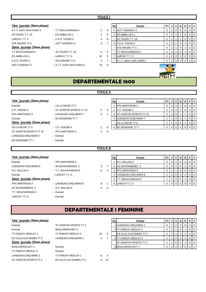| 1ère journée (2ème phase) |                          |                      |          | Rg | Equipe                 | <b>PT</b>      | J                    | νı             | N | D        | PIF            |                  |
|---------------------------|--------------------------|----------------------|----------|----|------------------------|----------------|----------------------|----------------|---|----------|----------------|------------------|
| A.T.T. AZAY-SUR-CHER 3    | - T.T BOUCHARDAIS 5      | $\mathbf{2}^{\circ}$ | 8        |    | <b>ASTT SORIGNY 2</b>  | 6              | $\mathbf{2}^{\circ}$ | $\overline{2}$ | 0 | $\Omega$ | 0 <sup>1</sup> |                  |
| 4S TOURS T.T. 16          | - ES AMBILLOU 1          | 5                    | 5        |    | <b>ES AMBILLOU 1</b>   | 5              |                      |                |   |          |                | - 0              |
| LARCAY T.T. 3             | - C.E.S. TOURS 3         | 4                    | 6        |    | 4S TOURS T.T. 16       | 5              |                      |                |   | U        |                | - 0              |
| STE MAURE TT 5            | - ASTT SORIGNY 2         | 3                    |          | 4  | <b>C.E.S. TOURS 3</b>  | 4              | $\overline{2}$       |                | 0 |          | 0 <sup>1</sup> |                  |
| 2ème journée (2ème phase) |                          |                      |          |    | <b>STE MAURE TT 5</b>  | 4              | 2                    |                |   |          | $\Omega$       | $\overline{1}$ 0 |
| T.T BOUCHARDAIS 5         | - 4S TOURS T.T. 16       | 4                    | 6        |    | T.T BOUCHARDAIS 5      | 4              |                      |                |   |          |                | 0                |
| ES AMBILLOU 1             | - LARCAY T.T. 3          | 10                   | $\Omega$ |    | LARCAY T.T. 3          | $\overline{2}$ | $\overline{2}$       | $\mathbf{0}$   | 0 | 2        | 0              | - 0              |
| C.E.S. TOURS 3            | - STE MAURE TT 5         | 3                    |          |    | A.T.T. AZAY-SUR-CHER 3 | $\overline{2}$ | 2                    |                |   |          |                | - 0              |
| <b>ASTT SORIGNY 2</b>     | - A.T.T. AZAY-SUR-CHER 3 | 10                   | $\Omega$ |    |                        |                |                      |                |   |          |                |                  |

#### **1ère** journée (2ème phase)

| Exempt                      | - US LA F  |
|-----------------------------|------------|
| C.P. VEIGNE 4               | - ST AVE   |
| PPC MARTINOIS 3             | - LANGE    |
| Exempt                      | - ES OES   |
| 2ème journée (2ème phase)   |            |
| US LA RICHE TT 5            | $-C.P. VE$ |
| ST AVERTIN SPORTS TT 10     | - PPC MA   |
| <b>LANGEAIS-CINQ MARS 7</b> | - Exempt   |
| ES OESIENNE TT 7            | - Exempt   |

### **POULE A**

| 1ère journée (2ème phase) |                           |   |    | Rg | Equipe                         | PT I |  | N | D | PF |                |
|---------------------------|---------------------------|---|----|----|--------------------------------|------|--|---|---|----|----------------|
| Exempt                    | - US LA RICHE TT 5        |   |    |    | <b>IPPC MARTINOIS 3</b>        | 6    |  |   |   |    | 0 <sub>0</sub> |
| C.P. VEIGNE 4             | - ST AVERTIN SPORTS TT 10 | 5 | 5  |    | C.P. VEIGNE 4                  |      |  |   |   |    | $01$ 0         |
| PPC MARTINOIS 3           | - LANGEAIS-CINQ MARS 7    | 9 |    |    | <b>ST AVERTIN SPORTS TT 10</b> |      |  |   |   |    | $\Omega$       |
| Exempt                    | - ES OESIENNE TT 7        |   |    |    | LANGEAIS-CINQ MARS 7           |      |  |   |   |    | $01$ 0         |
| 2ème journée (2ème phase) |                           |   |    |    | US LA RICHE TT 5               |      |  |   |   |    | $\Omega$       |
| US LA RICHE TT 5          | - C.P. VEIGNE 4           | 2 | 8  |    | 6 <b>ES OESIENNE TT 7</b>      |      |  |   |   |    | $\overline{0}$ |
| ST AVERTIN SPORTS TT 10   | - PPC MARTINOIS 3         |   | -6 |    |                                |      |  |   |   |    |                |

**PRU** 

#### **1ère** journée (2ème phase)

| Exempt                    | - PPC MA   |
|---------------------------|------------|
| LANGEAIS-CINQ MARS 8      | - AS SAV   |
| R.C. BALLAN 4             | $-T.T. BO$ |
| Exempt                    | - LARCAY   |
| 2ème journée (2ème phase) |            |
| <b>PPC MARTINOIS 4</b>    | - LANGE    |
| AS SAVONNIERES 2          | - R.C. BA  |
| T.T. BOUCHARDAIS 6        | - Exempt   |
| LARCAY T.T. 5             | - Exempt   |

### - PPC MARTINOIS 4 - AS SAVONNIERES 2 3 - T.T. BOUCHARDAIS 6 2 3 - LARCAY T.T.  $5$ - LANGEAIS-CINQ MARS 8 9 - R.C. BALLAN 4 4 6

- Exempt
	-

# **POULE B**

| <u>1ère journée</u> (2ème phase)         |                        |   | Rg | Equipe                    | <b>PT</b> |  | N | D | PFI                      |
|------------------------------------------|------------------------|---|----|---------------------------|-----------|--|---|---|--------------------------|
| Exempt                                   | - PPC MARTINOIS 4      |   |    | R.C. BALLAN 4             | 6         |  |   |   | $\overline{101}$         |
| LANGEAIS-CINQ MARS 8                     | - AS SAVONNIERES 2     | 3 |    | AS SAVONNIERES 2          |           |  |   |   | $\circ$ 1                |
| R.C. BALLAN 4                            | - T.T. BOUCHARDAIS 6   | 8 |    | 3 <b>IPPC MARTINOIS 4</b> |           |  |   |   | $\overline{0}$           |
| Exempt                                   | - LARCAY T.T. 5        |   |    | 4 LANGEAIS-CINQ MARS 8    |           |  |   |   | $\overline{\phantom{0}}$ |
| 2ème <u>journée</u> (2è <i>me phase)</i> |                        |   |    | T.T. BOUCHARDAIS 6        |           |  |   |   | $\circ$ 1                |
| PPC MARTINOIS 4                          | - LANGEAIS-CINQ MARS 8 | 9 |    | 6 LARCAY T.T. 5           |           |  |   |   | $\overline{101}$         |

# **DEPARTEMENTALE 1 FEMININE**

#### **1ère** journée (2ème phase)

| Exempt                    | ST AVERTIN SPORTS TT 2      |    |                |
|---------------------------|-----------------------------|----|----------------|
| Exempt                    | <b>BEAUJARDIN BCT 1</b>     |    |                |
| <b>TT PARCAY MESLAY 1</b> | TT PARCAY MESLAY 2          | 10 | $\Omega$       |
| ES VILLE AUX DAMES TT 1   | <b>LANGEAIS-CINQ MARS 1</b> | 3  | 7              |
| 2ème journée (2ème phase) |                             |    |                |
| <b>BEAUJARDIN BCT 1</b>   | Exempt                      |    |                |
| TT PARCAY MESLAY 2        | Exempt                      |    |                |
| LANGEAIS-CINQ MARS 1      | TT PARCAY MESLAY 1          | 6  | $\overline{4}$ |
| ST AVERTIN SPORTS TT 2    | ES VILLE AUX DAMES TT 1     | 0  | 10             |
|                           |                             |    |                |

| 1ère journée (2ème phase) |                         |    | Rg | Equipe                         | PTIJ |                                       | 1 V I | N | D | PIF |                |
|---------------------------|-------------------------|----|----|--------------------------------|------|---------------------------------------|-------|---|---|-----|----------------|
| Exempt                    | ST AVERTIN SPORTS TT 2  |    |    | 1 LANGEAIS-CINQ MARS 1         |      | $\begin{array}{c} 2 \\ 2 \end{array}$ |       |   |   |     | $\overline{0}$ |
| Exempt                    | <b>BEAUJARDIN BCT 1</b> |    |    | 2 TT PARCAY MESLAY 1           |      | l 21                                  |       |   |   |     | $\overline{0}$ |
| TT PARCAY MESLAY 1        | TT PARCAY MESLAY 2      | 10 |    | <b>ES VILLE AUX DAMES TT 1</b> |      |                                       |       |   |   |     | $\overline{0}$ |
| ES VILLE AUX DAMES TT 1   | LANGEAIS-CINQ MARS 1    | 3  |    | 4 TT PARCAY MESLAY 2           |      |                                       |       |   |   |     | $\overline{0}$ |
| 2ème journée (2ème phase) |                         |    |    | <b>ST AVERTIN SPORTS TT 2</b>  |      |                                       |       |   |   |     | $\overline{0}$ |
| BEAUJARDIN BCT 1          | Exempt                  |    |    | 6 BEAUJARDIN BCT 1             |      |                                       |       |   |   |     | $\overline{0}$ |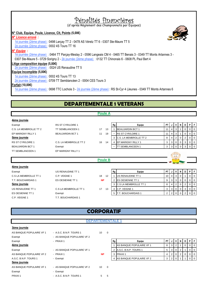# Pénalités financières

(d'après Règlement des Championnats par Equipes)

#### **N° Club, Equipe, Poule, Licence, Clt, Points (5,00€)**

#### *N° Licence erroné :*



1è journée (2ème phase) : 0498 Larçay TT 2 - 0478 AS Véretz TT 6 - 0307 Ste-Maure TT 5 2è journée (2ème phase) : 0002 4S Tours TT 16

#### *N° Equipe :*

1è journée (2ème phase) : 0464 TT Parçay-Meslay 2 - 0596 Langeais CM 4 - 0465 TT Benais 3 - 0349 TT Monts Artannes 3 - 0307 Ste-Maure 5 - 0729 Sorigny 2 - 2è journée (2ème phase) : 0132 TT Chinonais 6 - 0608 PL Paul Bert 4

#### **Litige composition équipe (5,00€)**

2è journée (2ème phase) : 0024 US Renaudine TT 5

#### **Equipe Incomplète (5,00€)**

1è journée (2ème phase) : 0002 4S Tours TT 13

2è journée (2ème phase) : 0709 TT Semblancéen 2 - 0004 CES Tours 3

#### **Forfait (10,00€)**

1è journée (2ème phase) : 0698 TTC Lochois 3 - 2è journée (2ème phase) : RS St-Cyr 4 (Jeunes - 0349 TT Monts Artannes 6

# **DEPARTEMENTALE 1 VETERANS**

#### **Poule A**

| 4ème journée             |                          |                |    |                           |           |                |                |              |                |         |                |
|--------------------------|--------------------------|----------------|----|---------------------------|-----------|----------------|----------------|--------------|----------------|---------|----------------|
| Exempt                   | <b>RS ST CYR/LOIRE 1</b> |                | Rg | Equipe                    | <b>PT</b> |                | V              | N            | D              | P       | l Fi           |
| C.S. LA MEMBROLLE TT 2   | <b>TT SEMBLANCEEN 1</b>  | 17<br>13       |    | <b>BEAUJARDIN BCT 1</b>   | 11        | 4              | 3              |              | $\overline{0}$ | 0       | <b>0</b>       |
| EP MARIGNY RILLY 1       | <b>BEAUJARDIN BCT 1</b>  | 11<br>19       |    | RS ST CYR/LOIRE 1         | 11        | 4              | 3              |              | $\overline{0}$ | 0       | $\overline{0}$ |
| 5ème journée             |                          |                |    | 3 IC.S. LA MEMBROLLE TT 2 | 8         | 4              | $\overline{2}$ | 0            | 2              | 0       | - 0            |
| <b>RS ST CYR/LOIRE 1</b> | C.S. LA MEMBROLLE TT 2   | 16<br>14       | 4  | EP MARIGNY RILLY 1        | 3         | 3 <sup>1</sup> | 0              | 0            | 3              | 0       | l 0            |
| <b>BEAUJARDIN BCT 1</b>  | Exempt                   |                | ۰  | <b>TT SEMBLANCEEN 1</b>   | 3         | 3 <sup>1</sup> | 0              | $\mathbf{0}$ | $\mathbf{3}$   | $0$   0 |                |
| TT SEMBLANCEEN 1         | EP MARIGNY RILLY 1       |                |    |                           |           |                |                |              |                |         |                |
|                          |                          |                |    |                           |           |                | 00             |              |                |         |                |
|                          |                          | <b>Poule B</b> |    |                           |           |                |                |              |                |         |                |
|                          |                          |                |    |                           |           |                |                |              |                |         |                |
| 4ème journée             |                          |                |    |                           |           |                |                |              |                |         |                |
| Exempt                   | US RENAUDINE TT 1        |                | Rg | Equipe                    | PT        |                | V              | N            | D              | PF      |                |
| C.S LA MEMBROLLE TT 1    | C.P. VEIGNE 1            | 18<br>12       |    | US RENAUDINE TT 1         | 10        | 4              | 3              | 0            |                | 0       | l 0            |
| T.T. BOUCHARDAIS 1       | ES OESIENNE TT 1         | <b>NP</b>      | 2  | <b>ES OESIENNE TT 1</b>   | 9         | 3              | 3              | $\mathbf{0}$ | 0              | 0       | $\overline{0}$ |
| 5ème journée             |                          |                | 3  | C.S LA MEMBROLLE TT 1     | 8         | 4              | $\overline{2}$ | 0            | 2              | 0       | $\overline{0}$ |
| US RENAUDINE TT 1        | C.S LA MEMBROLLE TT 1    | 17<br>13       | 4  | C.P. VEIGNE 1             | 3         | 3              | 0              | 0            | 3              | 0       | $\overline{0}$ |
| ES OESIENNE TT 1         | Exempt                   |                | 5  | <b>T.T. BOUCHARDAIS 1</b> | 2         | $\overline{2}$ | $\mathbf 0$    | $\mathbf{0}$ | $\overline{2}$ | 0       | $\overline{0}$ |
| C.P. VEIGNE 1            | T.T. BOUCHARDAIS 1       |                |    |                           |           |                |                |              |                |         |                |

# **CORPORATIF**

#### **DEPARTEMENTALE 1**

#### **3ème journée**

| AS BANQUE POPULAIRE VF 1 | - A.S.C. B.N.P. TOURS 1    | 10              | $\Omega$ |    |                          |           |   |                |                |   |     |     |
|--------------------------|----------------------------|-----------------|----------|----|--------------------------|-----------|---|----------------|----------------|---|-----|-----|
| Exempt                   | - AS BANQUE POPULAIRE VF 2 |                 |          |    |                          |           |   |                |                |   |     |     |
| Exempt                   | $-$ PRAXI1                 |                 |          | Rg | Equipe                   | <b>PT</b> | J | V <sub>1</sub> | N I            | D | PIF |     |
| 4ème journée             |                            |                 |          |    | AS BANQUE POPULAIRE VF 1 | 8         | 3 | 2              |                |   |     |     |
| Exempt                   | - AS BANQUE POPULAIRE VF 1 |                 |          |    | 2 A.S.C. B.N.P. TOURS 1  | 5         | 3 | $\overline{0}$ |                |   |     | - 0 |
| AS BANQUE POPULAIRE VF 2 | $-$ PRAXI1                 | <b>NP</b>       |          |    | 3 PRAXI1                 | 4         | 2 | $\overline{0}$ | 2 <sup>1</sup> |   |     | - 0 |
| A.S.C. B.N.P. TOURS 1    | - Exempt                   |                 |          | 4  | AS BANQUE POPULAIRE VF 2 | 3         | 2 |                |                |   |     |     |
| 5ème journée             |                            |                 |          |    |                          |           |   |                |                |   |     |     |
| AS BANQUE POPULAIRE VF 1 | - AS BANQUE POPULAIRE VF 2 | 10 <sup>°</sup> | $\Omega$ |    |                          |           |   |                |                |   |     |     |
| Exempt                   | - Exempt                   |                 |          |    |                          |           |   |                |                |   |     |     |
| PRAXI <sub>1</sub>       | - A.S.C. B.N.P. TOURS 1    | 5               | 5        |    |                          |           |   |                |                |   |     |     |

| Rg | Equipe                          | <b>PT</b> |   |   |  |  |
|----|---------------------------------|-----------|---|---|--|--|
|    | <b>AS BANQUE POPULAIRE VF 1</b> | 8         | ົ |   |  |  |
| 2  | IA.S.C. B.N.P. TOURS 1          |           |   | ົ |  |  |
| 3  | PRAXI <sub>1</sub>              |           |   |   |  |  |
|    | AS BANQUE POPULAIRE VF 2        | 3         |   |   |  |  |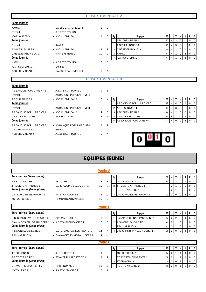| <u>3ème journée</u>      |                            |                         |                |    |                          |           |   |                |              |          |                |   |
|--------------------------|----------------------------|-------------------------|----------------|----|--------------------------|-----------|---|----------------|--------------|----------|----------------|---|
| KAMI <sub>1</sub>        | - CAISSE EPARGNE LC 1      | $\overline{2}$          | 8              |    |                          |           |   |                |              |          |                |   |
| Exempt                   | - A.S.P.T.T. TOURS 1       |                         |                |    |                          |           |   |                |              |          |                |   |
| <b>ICAR SYSTEMS 1</b>    | - ASC CHEMINEAU 1          | $\overline{2}$          | 8              | Rg | Equipe                   | PT.       |   | ٧              | N            | D        | P I            |   |
| 4ème journée             |                            |                         |                |    | <b>ASC CHEMINEAU 1</b>   | 10        | 4 | 3              | 0            |          | 0              |   |
| Exempt                   | - KAMI 1                   |                         |                |    | A.S.P.T.T. TOURS 1       | 10        | 4 | 3              | 0            |          | $\Omega$       |   |
| A.S.P.T.T. TOURS 1       | - ASC CHEMINEAU 1          | 3                       | 7              | 3  | CAISSE EPARGNE LC 1      | 8         | 4 | $\overline{2}$ | 0            | 2        | 0              |   |
| CAISSE EPARGNE LC 1      | - ICAR SYSTEMS 1           | 10                      | $\Omega$       | 4  | KAMI 1                   | 6         | 4 |                | 0            | 3        | 0              | O |
| <u>5ème journée</u>      |                            |                         |                |    | <b>ICAR SYSTEMS 1</b>    | 6         | 4 |                | $\mathbf{0}$ | 3        | $\overline{0}$ | C |
| KAMI <sub>1</sub>        | - A.S.P.T.T. TOURS 1       | 2                       | 8              |    |                          |           |   |                |              |          |                |   |
| <b>ICAR SYSTEMS 1</b>    | - Exempt                   |                         |                |    |                          |           |   |                |              |          |                |   |
| ASC CHEMINEAU 1          | - CAISSE EPARGNE LC 1      | 6                       | $\overline{4}$ |    |                          |           |   |                |              |          |                |   |
|                          |                            | <b>DEPARTEMENTALE 3</b> |                |    |                          |           |   |                |              |          |                |   |
| <u>3ème journée</u>      |                            |                         |                |    |                          |           |   |                |              |          |                |   |
| AS BANQUE POPULAIRE VF 3 | - A.S.C. B.N.P. TOURS 2    | 9                       | -1             |    |                          |           |   |                |              |          |                |   |
| Exempt                   | - AS BANQUE POPULAIRE VF 4 |                         |                |    |                          |           |   |                |              |          |                |   |
| AS CHU TOURS 1           | - ASC CHEMINEAU 2          | 6                       | 4              | Rg | Equipe                   | <b>PT</b> |   | $\mathsf{v}$   | N            | D        | PF             |   |
| 4ème journée             |                            |                         |                |    | AS BANQUE POPULAIRE VF 3 | 12        | 4 | 4              | 0            | $\Omega$ | $\Omega$       |   |
|                          |                            |                         |                |    |                          |           |   |                |              |          |                |   |

- 
- AS CHU TOURS 1 Exempt ASC CHEMINEAU 2 - A.S.C. B.N.P. TOURS 2 6 4
- Exempt AS BANQUE POPULAIRE VF 3 AS BANQUE POPULAIRE VF 4 - ASC CHEMINEAU 2  $\begin{array}{ccc} 4 & 6 \end{array}$
- AS BANQUE POPULAIRE VF 3 AS BANQUE POPULAIRE VF 4 8 2
	-
- -
- 

| _______                  |                            |   |  |                            |  |  |  |  |
|--------------------------|----------------------------|---|--|----------------------------|--|--|--|--|
| AS BANQUE POPULAIRE VF 4 | - ASC CHEMINEAU 2          | 4 |  | ASC CHEMINEAU 2            |  |  |  |  |
| A.S.C. B.N.P. TOURS 2    | - AS CHU TOURS 1           | 4 |  | A.S.C. B.N.P. TOURS 2      |  |  |  |  |
| 5ème journée             |                            |   |  | 5 AS BANQUE POPULAIRE VF 4 |  |  |  |  |
| AS BANQUE POPULAIRE VF 3 | - AS BANQUE POPULAIRE VF 4 |   |  |                            |  |  |  |  |
| AS CHU TOURS 1           | - Exempt                   |   |  |                            |  |  |  |  |



# **EQUIPES JEUNES**

|                              |                                |    | <b>Poule A</b> |                |                              |                |                |                |             |                |              |                |
|------------------------------|--------------------------------|----|----------------|----------------|------------------------------|----------------|----------------|----------------|-------------|----------------|--------------|----------------|
| 1ère journée (2ème phase)    |                                |    |                | Rg             | Equipe                       | <b>PT</b>      | J              | ۷              | N           | D              | P            | F.             |
| <b>RS ST CYR/LOIRE 1</b>     | $-4S$ TOURS T.T. 1             | 5  | 13             |                | 4S TOURS T.T. 1              | 6              | $\overline{2}$ | $\overline{2}$ | 0           | 0              | 0            | 0              |
| TT MONTS ARTANNES 1          | - U.S.E. AVOINE-BEAUMONT 1     | 10 | 8              | $\overline{2}$ | <b>ITT MONTS ARTANNES 1</b>  | 4              | 2              |                | 0           |                | 0            | $\mathbf 0$    |
| 2ème journée (2ème phase)    |                                |    |                |                | <b>RS ST CYR/LOIRE 1</b>     | 4              | $\overline{2}$ | $\overline{1}$ | 0           |                | 0            | $\mathsf 0$    |
| U.S.E. AVOINE-BEAUMONT 1     | - RS ST CYR/LOIRE 1            | 6  | 12             | 4              | U.S.E. AVOINE-BEAUMONT 1     | $\overline{2}$ | $\overline{2}$ | $\mathbf 0$    | $\mathbf 0$ | 2              | 0            | $\overline{0}$ |
| 4S TOURS T.T. 1              | - TT MONTS ARTANNES 1          | 15 | 3              |                |                              |                |                |                |             |                |              |                |
|                              |                                |    | <b>Poule B</b> |                |                              |                |                |                |             |                |              |                |
| 1ère journée (2ème phase)    |                                |    |                | Rg             | Equipe                       | PT             | J              | V              | N           | D              | P            | F              |
| U.S. CHAMBRAY-LES-TOURS 1    | - PPC MARTINOIS 1              | 8  | 10             |                | Entente OESIENNE-PAUL BERT 1 | 6              | $\overline{2}$ | $\overline{2}$ | 0           | 0              | 0            | $\mathbf 0$    |
| Entente OESIENNE-PAUL BERT 1 | - A.S MONTLOUIS/LOIRE 1        | 10 | 8              | 2              | A.S MONTLOUIS/LOIRE 1        | 4              | $\overline{2}$ |                | $\Omega$    |                | 0            | $\Omega$       |
| 2ème journée (2ème phase)    |                                |    |                |                | <b>PPC MARTINOIS 1</b>       | 4              | $\overline{2}$ |                | 0           |                | 0            | $\mathbf 0$    |
| A.S MONTLOUIS/LOIRE 1        | - U.S. CHAMBRAY-LES-TOURS 1    | 14 |                | 4              | U.S. CHAMBRAY-LES-TOURS 1    | $\overline{2}$ | $\overline{2}$ | $\Omega$       | $\Omega$    | $\overline{2}$ | $\mathbf{0}$ | $\Omega$       |
| PPC MARTINOIS 1              | - Entente OESIENNE-PAUL BERT 1 | 4  | 14             |                |                              |                |                |                |             |                |              |                |
|                              |                                |    | <b>Poule C</b> |                |                              |                |                |                |             |                |              |                |
| 1ère journée (2ème phase)    |                                |    |                | Rg             | Equipe                       | PT             | J              | ٧              | N           | D              | P            | F.             |
| <b>TT CHINONAIS 1</b>        | $-4S$ TOURS T.T. 2             | 9  | 9              |                | 4S TOURS T.T. 2              | 5              | 2              |                |             | 0              | 0            | $\mathbf 0$    |
| <b>RS ST CYR/LOIRE 2</b>     | - ST AVERTIN SPORTS TT 1       | 9  | 9              |                | ST AVERTIN SPORTS TT 1       | 5              | 2              |                |             | 0              | 0            | $\mathbf 0$    |
| 2ème journée (2ème phase)    |                                |    |                | 3              | <b>TT CHINONAIS 1</b>        | 3              | 2              | $\mathbf 0$    |             |                | $\mathbf{0}$ | $\mathbf 0$    |
| ST AVERTIN SPORTS TT 1       | - TT CHINONAIS 1               | 12 | 6              |                | RS ST CYR/LOIRE 2            | 3              | 2              | $\Omega$       |             |                | $\mathbf{0}$ | $\Omega$       |
| 4S TOURS T.T. 2              | - RS ST CYR/LOIRE 2            | 17 |                |                |                              |                |                |                |             |                |              |                |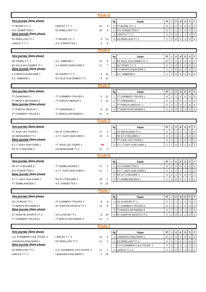|                                                    |                                              | <b>Poule D</b>       |                                                   |                |                              |                                  |                        |                |                            |                             |
|----------------------------------------------------|----------------------------------------------|----------------------|---------------------------------------------------|----------------|------------------------------|----------------------------------|------------------------|----------------|----------------------------|-----------------------------|
| <u>1ère journée (2ème phase)</u>                   |                                              |                      | Rg<br>Equipe                                      | PT             | J                            | V                                | N                      | D              | P                          | $\mathsf F$                 |
| TT BLERE V.C. 1                                    | - LARCAY T.T. 1                              | 12<br>6              | TT BLERE V.C. 1<br>$\mathbf{1}$                   | 6              | $\sqrt{2}$                   | $\sqrt{2}$                       | $\mathbf 0$            | $\mathbf 0$    | $\pmb{0}$                  | $\mathbf 0$                 |
| A.S. FONDETTES 1                                   | - ES RIDELLOIS TT 1                          | 10<br>8              | $\overline{2}$<br>A.S. FONDETTES 1                | 5              | $\overline{2}$               | $\overline{1}$                   | $\mathbf{1}$           | 0              | $\pmb{0}$                  | $\mathbf 0$                 |
| 2ème journée (2ème phase)                          |                                              |                      | LARCAY T.T. 1<br>3                                | 3              | $\overline{2}$               | $\mathbf 0$                      | $\mathbf{1}$           | $\mathbf{1}$   | $\pmb{0}$                  | $\overline{0}$              |
| ES RIDELLOIS TT 1                                  | - TT BLERE V.C. 1                            | 5<br>13              | ES RIDELLOIS TT 1<br>$\overline{4}$               | $\overline{2}$ | $\overline{2}$               | $\mathbf 0$                      | $\mathbf 0$            | $\overline{2}$ | $\mathbf 0$                | $\mathbf 0$                 |
| LARCAY T.T. 1                                      | - A.S. FONDETTES 1                           | 9<br>9               |                                                   |                |                              |                                  |                        |                |                            |                             |
|                                                    |                                              | <b>Poule E</b>       |                                                   |                |                              |                                  |                        |                |                            |                             |
| 1ère journée (2ème phase)                          |                                              |                      | Equipe                                            | PT             | J                            | V                                | N                      | D              | P                          | F                           |
| 4S TOURS T.T. 3                                    | - A.C. AMBOISE 1                             | 10<br>8              | Rg<br>ES VILLE AUX DAMES TT 1<br>$\mathbf{1}$     | 6              | $\sqrt{2}$                   | $\overline{2}$                   | $\mathbf 0$            | $\mathbf 0$    | $\pmb{0}$                  | $\mathbf 0$                 |
| ES VILLE AUX DAMES TT 1                            | - A.S MONTLOUIS/LOIRE 2                      | 11<br>$\overline{7}$ | 4S TOURS T.T. 3                                   | 6              | $\overline{2}$               | $\sqrt{2}$                       | $\mathbf 0$            | $\mathbf 0$    | $\pmb{0}$                  | $\mathbf 0$                 |
| 2ème journée (2ème phase)                          |                                              |                      | A.S MONTLOUIS/LOIRE 2<br>3                        | 2              | $\sqrt{2}$                   | $\mathbf 0$                      | $\mathbf 0$            | $\overline{c}$ | 0                          | $\mathbf 0$                 |
| A.S MONTLOUIS/LOIRE 2                              | - 4S TOURS T.T. 3                            | 14<br>4              | A.C. AMBOISE 1                                    | $\overline{2}$ | $\overline{2}$               | $\mathbf 0$                      | $\mathbf 0$            | $\overline{2}$ | $\mathsf 0$                | $\mathbf 0$                 |
| A.C. AMBOISE 1                                     | - ES VILLE AUX DAMES TT 1                    | 10<br>8              |                                                   |                |                              |                                  |                        |                |                            |                             |
|                                                    |                                              | <b>Poule F</b>       |                                                   |                |                              |                                  |                        |                |                            |                             |
|                                                    |                                              |                      |                                                   |                |                              |                                  |                        |                |                            |                             |
| 1ère journée (2ème phase)                          |                                              |                      | Rg<br>Equipe                                      | PT             | J                            | V                                | N                      | D              | P                          | F                           |
| <b>TT CHINONAIS 2</b>                              | - TT CORMERY-TRUYES 1                        | 13<br>5              | TT CORMERY-TRUYES 1<br>$\mathbf{1}$               | 6              | $\overline{2}$               | $\overline{2}$                   | $\mathbf 0$            | $\mathbf 0$    | $\mathbf 0$                | $\mathbf 0$                 |
| TT MONTS ARTANNES 2<br>2ème journée (2ème phase)   | - TT PARCAY MESLAY 1                         | 15<br>3              | <b>TT CHINONAIS 2</b><br>2<br>TT PARCAY MESLAY 1  | 4<br>4         | $\overline{2}$<br>$\sqrt{2}$ | $\overline{1}$<br>$\overline{1}$ | $\pmb{0}$<br>$\pmb{0}$ | 1<br>1         | $\mathsf 0$<br>$\mathbf 0$ | $\mathbf{0}$<br>$\mathbf 0$ |
| TT PARCAY MESLAY 1                                 | - TT CHINONAIS 2                             | 12<br>6              | $\overline{4}$<br><b>TT MONTS ARTANNES 2</b>      | $\overline{2}$ | $\overline{2}$               | $\mathbf 0$                      | $\mathbf 0$            | $\overline{2}$ | $\mathbf 0$                | $\mathbf 0$                 |
| TT CORMERY-TRUYES 1                                | - TT MONTS ARTANNES 2                        | 14<br>4              |                                                   |                |                              |                                  |                        |                |                            |                             |
|                                                    |                                              |                      |                                                   |                |                              |                                  |                        |                |                            |                             |
|                                                    |                                              | <b>Poule G</b>       |                                                   |                |                              |                                  |                        |                |                            |                             |
| 1ère journée (2ème phase)                          |                                              |                      | Rg<br>Equipe                                      | PT             | J                            | V                                | N                      | D              | P                          | F                           |
| TT JOUE LES TOURS 1                                | - RS ST CYR/LOIRE 3                          | 17<br>$\mathbf{1}$   | US RENAUDINE TT 1<br>$\mathbf{1}$                 | 4              | $\overline{2}$               | $\overline{1}$                   | $\mathbf 0$            | 1              | $\mathbf 0$                | $\mathbf 0$                 |
| US RENAUDINE TT 1                                  | - A.T.T. AZAY-SUR-CHER 1                     | 15<br>3              | RS ST CYR/LOIRE 3                                 | 4              | $\overline{2}$               | $\overline{1}$                   | $\mathbf 0$            |                | $\mathbf 0$                | $\mathbf 0$                 |
| 2ème journée (2ème phase)                          |                                              |                      | <b>TT JOUE LES TOURS 1</b><br>3                   | 3              | 1                            | $\mathbf{1}$                     | $\mathbf 0$            | $\mathbf 0$    | $\mathbf 0$                | $\mathbf 0$                 |
| A.T.T. AZAY-SUR-CHER 1<br><b>RS ST CYR/LOIRE 3</b> | - TT JOUE LES TOURS 1<br>- US RENAUDINE TT 1 | <b>NP</b><br>6<br>12 | $\overline{4}$<br>A.T.T. AZAY-SUR-CHER 1          | $\mathbf{1}$   | $\mathbf{1}$                 | $\mathbf 0$                      | $\mathbf 0$            |                | $\mathbf 0$                | $\mathbf 0$                 |
|                                                    |                                              |                      |                                                   |                |                              |                                  |                        |                |                            |                             |
|                                                    |                                              | <b>Poule H</b>       |                                                   |                |                              |                                  |                        |                |                            |                             |
| 1ère journée (2ème phase)                          |                                              |                      | Equipe<br>Rg                                      | PT             |                              | ٧                                | N                      | D              | P                          | F.                          |
| RS ST CYR/LOIRE 4                                  | - TT SEMBLANCEEN 1                           | 17<br>1              | A.S. FONDETTES 2<br>$\overline{1}$                | 6              | $\overline{2}$               | $\overline{2}$                   | $\mathbf 0$            | $\Omega$       | $\mathbf 0$                | $\overline{0}$              |
| A.S. FONDETTES 2                                   | - A.T.T. AZAY-SUR-CHER 2                     | 11<br>7              | A.T.T. AZAY-SUR-CHER 2<br>2                       | 4              | $\overline{2}$               | $\overline{1}$                   | $\mathbf 0$            | 1              | 0                          | $\overline{0}$              |
| 2ème journée (2ème phase)                          |                                              |                      | <b>RS ST CYR/LOIRE 4</b><br>3<br>TT SEMBLANCEEN 1 | 3              | $\overline{2}$               | $\overline{1}$                   | $\mathbf 0$            | 0              |                            | $0$   1                     |
| A.T.T. AZAY-SUR-CHER 2<br>TT SEMBLANCEEN 1         | - RS ST CYR/LOIRE 4<br>- A.S. FONDETTES 2    | F<br>18<br>8<br>10   | $\overline{\mathbf{4}}$                           | 2              | $\overline{2}$               | $\mathbf 0$                      | $\mathbf 0$            | 2              |                            | $0 \quad 0$                 |
|                                                    |                                              |                      |                                                   |                |                              |                                  |                        |                |                            |                             |
|                                                    |                                              | <b>Poule</b>         |                                                   |                |                              |                                  |                        |                |                            |                             |
| 1ère journée (2ème phase)                          |                                              |                      | Equipe<br>Rg                                      | PT             | J                            | V                                | N                      | D              | P                          | F                           |
| US LA RICHE TT 1                                   | - TT CORMERY-TRUYES 2                        | 9<br>9               | US LA RICHE TT 1<br>$\mathbf{1}$                  | 5              | $\overline{2}$               | $\mathbf{1}$                     |                        | 0              | $\mathbf 0$                | $\mathbf 0$                 |
| TT MONTS ARTANNES 3                                | - ST AVERTIN SPORTS TT 2                     | 12<br>6              | TT CORMERY-TRUYES 2                               | 5              | $\overline{2}$               | $\overline{1}$                   | 1                      | 0              | 0                          | $\mathbf 0$                 |
| 2ème journée (2ème phase)                          |                                              |                      | TT MONTS ARTANNES 3<br>3                          | 4              | 2                            | $\overline{1}$                   | 0                      | 1              | 0                          | $\overline{0}$              |
| ST AVERTIN SPORTS TT 2                             | - US LA RICHE TT 1                           | 8<br>10              | ST AVERTIN SPORTS TT 2<br>$\overline{4}$          | $\overline{2}$ | $\overline{2}$               | $\mathbf 0$                      | $\mathbf 0$            | 2              | $\overline{0}$             | $\overline{0}$              |
| TT CORMERY-TRUYES 2                                | - TT MONTS ARTANNES 3                        | 7<br>11              |                                                   |                |                              |                                  |                        |                |                            |                             |
|                                                    |                                              | <b>Poule J</b>       |                                                   |                |                              |                                  |                        |                |                            |                             |
| 1ère journée (2ème phase)                          |                                              |                      | Rg<br>Equipe                                      | PT             | J                            | V                                | N                      | D              | P                          | $\mathsf F$                 |
| U.S. CHAMBRAY-LES-TOURS 2                          | - LARCAY T.T. 2                              | 5<br>13              | LANGEAIS-CINQ MARS 1<br>$\mathbf{1}$              | 6              | $\overline{2}$               | $\overline{c}$                   | $\mathbf 0$            | 0              | $\mathbf 0$                | $\mathbf 0$                 |
| LANGEAIS-CINQ MARS 1                               | - ES RIDELLOIS TT 2                          | 14<br>4              | ES RIDELLOIS TT 2<br>$\overline{2}$               | 4              | $\sqrt{2}$                   | $\mathbf{1}$                     | $\mathbf 0$            | 1              | $\overline{0}$             | $\overline{0}$              |
| 2ème journée (2ème phase)                          |                                              |                      | U.S. CHAMBRAY-LES-TOURS 2                         | 4              | $\overline{2}$               | $\overline{1}$                   | 0                      | 1              | $\overline{0}$             | $\overline{0}$              |
| ES RIDELLOIS TT 2                                  | - U.S. CHAMBRAY-LES-TOURS 2                  | 7<br>11              | LARCAY T.T. 2<br>$\overline{\mathbf{4}}$          | $\overline{2}$ | $\overline{2}$               | $\mathbf 0$                      | $\mathbf 0$            | $\overline{2}$ | $\overline{0}$             | $\overline{0}$              |
| LARCAY T.T. 2                                      | - LANGEAIS-CINQ MARS 1                       | 2<br>16              |                                                   |                |                              |                                  |                        |                |                            |                             |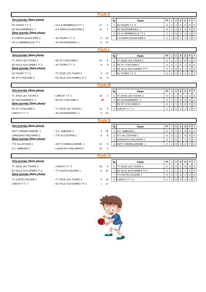|                                  |                           | Poule K              |                                                   |                                                                                                                 |
|----------------------------------|---------------------------|----------------------|---------------------------------------------------|-----------------------------------------------------------------------------------------------------------------|
| <u>1ère journée (2ème phase)</u> |                           |                      | Equipe<br>Rg                                      | P<br>V<br>I F<br><b>PT</b><br>J<br>N<br>D                                                                       |
| 4S TOURS T.T. 4                  | - CS LA MEMBROLLE TT 1    | 17<br>1              | $\mathbf{1}$<br>4S TOURS T.T. 4                   | $\overline{2}$<br>$\overline{2}$<br>$\pmb{0}$<br>$\mathbf 0$<br>6<br>$\mathbf 0$<br>0                           |
| <b>AS SAVONNIERES 1</b>          | - A.S MONTLOUIS/LOIRE 3   | 11<br>$\overline{7}$ | AS SAVONNIERES 1                                  | $\overline{2}$<br>$\overline{2}$<br>$\mathbf 0$<br>$\mathbf 0$<br>6<br>$\Omega$<br>$\Omega$                     |
| <u>2ème journée (2ème phase)</u> |                           |                      | CS LA MEMBROLLE TT 1<br>3                         | $\sqrt{2}$<br>$\overline{2}$<br>$\mathbf 0$<br>$\mathbf 0$<br>$\overline{2}$<br>$\mathbf 0$<br>$\mathbf 0$      |
| A.S MONTLOUIS/LOIRE 3            | - 4S TOURS T.T. 4         | $\mathbf 0$<br>18    | $\overline{\phantom{a}}$<br>A.S MONTLOUIS/LOIRE 3 | $\mathbf 0$<br>$\overline{2}$<br>$\overline{2}$<br>$\mathbf 0$<br>$\Omega$<br>$\overline{2}$<br>$\mathbf 0$     |
| CS LA MEMBROLLE TT 1             | - AS SAVONNIERES 1        | 5<br>13              |                                                   |                                                                                                                 |
|                                  |                           | Poule L              |                                                   |                                                                                                                 |
| 1ère journée (2ème phase)        |                           |                      | Rg<br>Equipe                                      | PT<br>V<br>N<br>P<br>F<br>J<br>D                                                                                |
| TT JOUE LES TOURS 2              | - RS ST CYR/LOIRE 5       | 10<br>8              | TT JOUE LES TOURS 2<br>$\mathbf{1}$               | $\sqrt{2}$<br>$\mathbf 2$<br>$\mathbf 0$<br>0<br>$\pmb{0}$<br>$\mathbf 0$<br>6                                  |
| ES VILLE AUX DAMES TT 2          | - 4S TOURS T.T. 5         | 9<br>9               | RS ST CYR/LOIRE 5<br>$\overline{2}$               | $\overline{2}$<br>$\overline{1}$<br>$\mathbf 0$<br>$\mathbf 0$<br>$\mathbf 0$<br>$\overline{4}$<br>$\mathbf{1}$ |
| 2ème journée (2ème phase)        |                           |                      | 3<br>ES VILLE AUX DAMES TT 2                      | $\overline{2}$<br>3<br>$\mathbf 0$<br>$\mathbf{1}$<br>$\mathbf 0$<br>$\mathbf 0$<br>1                           |
| 4S TOURS T.T. 5                  | - TT JOUE LES TOURS 2     | 4<br>14              | 4S TOURS T.T. 5                                   | $\overline{2}$<br>$\mathbf 0$<br>3<br>$\mathbf 0$<br>$\mathbf 0$<br>$\overline{1}$                              |
| RS ST CYR/LOIRE 5                | - ES VILLE AUX DAMES TT 2 | 5<br>13              |                                                   |                                                                                                                 |
|                                  |                           |                      |                                                   |                                                                                                                 |
|                                  |                           | <b>Poule M</b>       |                                                   |                                                                                                                 |
| 1ère journée (2ème phase)        |                           |                      | Rg<br>Equipe                                      | <b>PT</b><br>$\mathbf v$<br>N<br>D<br>P<br>F<br>J                                                               |
| TT JOUE LES TOURS 3              | - LARCAY T.T. 3           | $\overline{2}$<br>16 | TT JOUE LES TOURS 3                               | $\overline{2}$<br>$\Omega$<br>$\mathbf 0$<br>$\mathbf{1}$<br>$\Omega$<br>4                                      |
| AS SAVONNIERES 2                 | - RS ST CYR/LOIRE 6       | <b>NP</b>            | AS SAVONNIERES 2<br>2                             | 3<br>$\mathbf{1}$<br>$\mathbf{1}$<br>$\mathbf 0$<br>$\mathbf 0$<br>$\mathbf 0$<br>$\mathbf 0$                   |
| 2ème journée (2ème phase)        |                           |                      | RS ST CYR/LOIRE 6                                 | 3<br>$\mathbf{1}$<br>$\mathbf 0$<br>$\mathbf 0$<br>$\mathbf 0$<br>$\mathbf 0$<br>$\mathbf{1}$                   |
| RS ST CYR/LOIRE 6                | - TT JOUE LES TOURS 3     | 12<br>6              | $\overline{4}$<br>LARCAY T.T. 3                   | $\overline{2}$<br>2<br>$\mathbf 0$<br>$\overline{2}$<br>$\mathbf 0$<br>$\mathbf 0$<br>$\Omega$                  |
| LARCAY T.T. 3                    | - AS SAVONNIERES 2        | 5<br>13              |                                                   |                                                                                                                 |
|                                  |                           | <b>Poule N</b>       |                                                   |                                                                                                                 |
| 1ère journée (2ème phase)        |                           |                      | Rg<br>Equipe                                      | P<br>$\mathsf F$<br><b>PT</b><br>V<br>N<br>D<br>J                                                               |
| <b>ASTT CHEMILLE/DEME 1</b>      | - A.C. AMBOISE 2          | 18<br>0              | A.C. AMBOISE 2<br>$\mathbf{1}$                    | $\overline{2}$<br>$\overline{2}$<br>$\pmb{0}$<br>6<br>$\mathbf 0$<br>$\mathbf 0$<br>$\overline{0}$              |
| LANGEAIS-CINQ MARS 2             | - TTC du LOCHOIS 1        | 9<br>9               | TTC du LOCHOIS 1<br>$\overline{2}$                | $\overline{2}$<br>$\Omega$<br>$\mathsf 0$<br>$\mathbf 0$<br>5<br>$\overline{1}$<br>$\mathbf{1}$                 |
| 2ème journée (2ème phase)        |                           |                      | LANGEAIS-CINQ MARS 2<br>3                         | 3<br>2<br>$\mathbf 0$<br>$\mathbf 0$<br>$\mathbf 0$<br>$\mathbf{1}$<br>1                                        |
| TTC du LOCHOIS 1                 | - ASTT CHEMILLE/DEME 1    | 10<br>8              | $\overline{4}$<br><b>ASTT CHEMILLE/DEME 1</b>     | $\overline{2}$<br>$\mathsf 0$<br>$\overline{2}$<br>$\Omega$<br>$\Omega$<br>$\overline{2}$<br>$\Omega$           |
| A.C. AMBOISE 2                   | - LANGEAIS-CINQ MARS 2    | 16<br>$\overline{2}$ |                                                   |                                                                                                                 |
|                                  |                           | <b>Poule O</b>       |                                                   |                                                                                                                 |
| 1ère journée (2ème phase)        |                           |                      | Rg<br>Equipe                                      | V<br>P<br>F<br>PT<br>J<br>N<br>D                                                                                |
| TT JOUE LES TOURS 4              | - LARCAY T.T. 4           | 18<br>0              | TT JOUE LES TOURS 4<br>$\mathbf{1}$               | $\mathbf 2$<br>$\overline{2}$<br>6<br>$\mathbf 0$<br>0<br>$\mathbf 0$<br>$\mathbf 0$                            |
| ES VILLE AUX DAMES TT 3          | - TT CASTELVALERIE 1      | 4<br>14              | ES VILLE AUX DAMES TT 3<br>$\overline{2}$         | $\sqrt{2}$<br>$\overline{1}$<br>$\mathbf 0$<br>$\mathbf 0$<br>$\mathbf 0$<br>$\overline{4}$<br>$\mathbf{1}$     |
| 2ème journée (2ème phase)        |                           |                      | TT CASTELVALERIE 1                                | $\sqrt{2}$<br>$\mathsf 0$<br>$\mathbf 0$<br>$\overline{4}$<br>$\overline{1}$<br>$\mathbf 0$<br>1                |
| TT CASTELVALERIE 1               | - TT JOUE LES TOURS 4     | 13<br>5              | $\overline{4}$<br><b>LARCAY T.T. 4</b>            | $\overline{2}$<br>$\overline{0}$<br>2<br>$\mathbf 0$<br>$\Omega$<br>$\overline{2}$<br>$\mathbf 0$               |



LARCAY T.T. 4  $\qquad \qquad$  - ES VILLE AUX DAMES TT 3  $\qquad \qquad$  17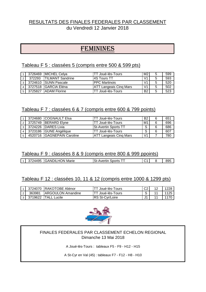# RESULTATS DES FINALES FEDERALES PAR CLASSEMENT du Vendredi 12 Janvier 2018

# FEMININES

### Tableau F 5 : classées 5 (compris entre 500 & 599 pts)

|   |         | 3726469 MICHEL Celya     | TT Joué-lès-Tours             | M <sub>2</sub> | 5 | 599 |
|---|---------|--------------------------|-------------------------------|----------------|---|-----|
| 2 | 372293  | <b>ITILMANT Sandrine</b> | <b>4S Tours TT</b>            | V <sub>1</sub> | 5 | 593 |
|   |         | 3724610 SUNN Pascale     | <b>PPC Martinois</b>          | V <sub>1</sub> | 5 | 520 |
|   |         | 3727518 GARCIA Eléna     | <b>ATT Langeais Cing Mars</b> | V <sub>1</sub> | 5 | 502 |
|   | 3725827 | ' IADAM Florine          | TT Joué-lès-Tours             | <b>B2</b>      | 5 | 523 |

# Tableau F 7 : classées 6 & 7 (compris entre 600 & 799 points)

|  | 3724680 COGNAULT Elsa      | TT Joué-lès-Tours             | <b>B2</b>      | 6 | 651 |
|--|----------------------------|-------------------------------|----------------|---|-----|
|  | 3725749 BERARD Elyne       | TT Joué-lès-Tours             | M <sub>1</sub> | 6 | 696 |
|  | 3 3724226 DARES Livia      | <b>St-Avertin Sports TT</b>   | $\mathbf{C}$   | 6 | 686 |
|  | 3723186 GUNE Angélique     | TT Joué-lès-Tours             | $\sim$         | 6 | 607 |
|  | 4520716 GAGNEPAIN Caroline | <b>ATT Langeais Cing Mars</b> | V <sub>1</sub> |   | 780 |

# Tableau F 9 : classées 8 & 9 (compris entre 800 & 999 ppoints)

|  | <b>AIL</b><br>, , | ЭIL<br>Marie<br><b>GANE</b><br>- 17<br>⊇N.<br>. . | Sports<br>.<br>τıι<br>wer<br>יור |  | റെ<br>ぃ◡ |
|--|-------------------|---------------------------------------------------|----------------------------------|--|----------|
|  |                   |                                                   |                                  |  |          |

# Tableau F 12 : classées 10, 11 & 12 (compris entre 1000 & 1299 pts)

|        | 3724070 IRAKOTOBE Aliénor | Joué-lès-Tours              | rn. | 10 | 1228 |
|--------|---------------------------|-----------------------------|-----|----|------|
| 363981 | <b>IARGOULON Amandine</b> | <sup>-</sup> Joué-lès-Tours |     |    | 1125 |
|        | 3719622 ITALL Lucile      | IRS St-Cvr/Loire            |     |    | 1170 |



### FINALES FEDERALES PAR CLASSEMENT ECHELON REGIONAL Dimanche 13 Mai 2018

A Joué-lès-Tours : tableaux F5 - F9 - H12 - H15

A St-Cyr en Val (45) : tableaux F7 - F12 - H8 - H10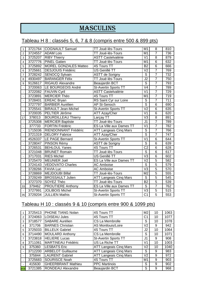# **MASCULINS**

# Tableau H 8 : classés 5, 6, 7 & 8 (compris entre 500 & 899 pts)

| $\mathbf{1}$             | 3721764 | <b>COGNAULT Samuel</b>       | TT Joué-lès-Tours             | M1                       | 8              | 810              |
|--------------------------|---------|------------------------------|-------------------------------|--------------------------|----------------|------------------|
| $\overline{c}$           | 3724557 | <b>ADAM Lois</b>             | TT Joué-lès-Tours             | M <sub>1</sub>           | $\overline{7}$ | 736              |
| 3                        | 3725207 | <b>RIBY Thierry</b>          | <b>ASTT Castelvalérie</b>     | V <sub>1</sub>           | 8              | 879              |
| 4                        | 3727776 | <b>PINEL Gatien</b>          | TT Joué-lès-Tours             | M1                       | 6              | 632              |
| 5                        | 3725892 | <b>MOREL GONZALES Matteo</b> | 4S Tours TT                   | <b>B2</b>                | $\overline{6}$ | 666              |
| 6                        | 3725661 | <b>DESJOUIS Frédéric</b>     | US Genillé TT                 | $\overline{V}$           | $\overline{7}$ | 769              |
| $\overline{7}$           | 3728242 | <b>SENOCQ Sylvain</b>        | <b>ASTT de Sorigny</b>        | S                        | $\overline{7}$ | 732              |
| 8                        | 4930497 | <b>BARANGER Félix</b>        | TT Joué-lès-Tours             | $\overline{J2}$          | $\overline{7}$ | 750              |
| 9                        | 9126617 | <b>RIGAUD Alexandre</b>      | <b>Beaujardin BCT</b>         | ड                        | $\overline{7}$ | 793              |
| $\overline{a}$           | 3720063 | LE BOURGEOIS André           | <b>St-Avertin Sports TT</b>   | $\overline{\vee}$ 4      | $\overline{7}$ | 789              |
| $\ddot{\phantom{1}}$     | 3722082 | <b>FAUVIN Cyril</b>          | <b>ASTT Castelvalérie</b>     | V <sub>1</sub>           | $\overline{7}$ | 729              |
| $\blacksquare$           | 3723891 | <b>MERCIER Théo</b>          | <b>4S Tours TT</b>            | $\overline{M1}$          | $\overline{7}$ | $\overline{719}$ |
| $\blacksquare$           | 3728401 | <b>EREAC Bryan</b>           | RS Saint Cyr sur Loire        | ड                        | $\overline{7}$ | $\overline{711}$ |
| $\blacksquare$           | 3727797 | <b>BARBIER Aurélien</b>      | <b>AP St-Senoch</b>           | $\overline{\mathsf{s}}$  | $\overline{6}$ | 690              |
| $\blacksquare$           | 3725541 | <b>BIRAULT Jean-Michel</b>   | <b>St-Avertin Sports TT</b>   | $\overline{V}$           | $\overline{6}$ | 635              |
| $\overline{\phantom{a}}$ | 3720035 | PELTIER Jérôme               | <b>ATT Azay/Cher</b>          | $\overline{V}$           | $\overline{6}$ | 620              |
| 17                       | 378013  | <b>BOURDILLEAU Thierry</b>   | Larçay TT                     | V <sub>3</sub>           | 8              | 891              |
|                          | 3725308 | <b>MERCIER Baptiste</b>      | TT Joué-lès-Tours             | J <sub>1</sub>           | $\overline{7}$ | 789              |
| $\overline{a}$           | 377733  | <b>FORTIN Frédéric</b>       | ES La Ville aux Dames TT      | $\overline{\mathsf{V1}}$ | $\overline{7}$ | 782              |
| $\overline{a}$           | 1715036 | RIENDONNANT Frédéric         | <b>ATT Langeais Cinq Mars</b> | $\overline{\mathsf{s}}$  | $\overline{7}$ | 766              |
| $\overline{\phantom{a}}$ | 3721319 | <b>DELORY Fabrice</b>        | <b>ATT Azay/Cher</b>          | $\overline{\mathsf{s}}$  | $\overline{7}$ | 747              |
|                          | 4526337 | <b>LE PAGE Bernard</b>       | <b>St-Avertin Sports TT</b>   | $\overline{V}$ 1         | $\overline{6}$ | 644              |
|                          | 3728047 | PINSON Rémy                  | <b>ASTT de Sorigny</b>        | $\overline{\mathsf{s}}$  | 6              | 639              |
| $\blacksquare$           | 3726531 | <b>BEHLOUL Yanes</b>         | <b>4S Tours TT</b>            | $\overline{C2}$          | $\overline{6}$ | 628              |
| $\blacksquare$           | 3721048 | <b>BRUNET Romain</b>         | TT Joué-lès-Tours             | ड                        | $\overline{6}$ | 617              |
| $\overline{a}$           | 3717031 | <b>RIES Michel</b>           | US Genillé TT                 | $\overline{\vee}$ 3      | $\overline{6}$ | 602              |
|                          | 3725470 | MEUNIER Joël                 | ES La Ville aux Dames TT      | $\overline{V}$           | $\overline{5}$ | 582              |
|                          | 3724143 | <b>VEDOVATO Charles</b>      | <b>AC Amboise</b>             | $\overline{\mathsf{s}}$  | $\overline{5}$ | 579              |
| $\overline{a}$           | 3728266 | <b>FAVIA Luc</b>             | <b>AC Amboise</b>             | $\overline{\text{V3}}$   | $\overline{5}$ | 570              |
| $\blacksquare$           | 3728869 | <b>MEJDOUBI Billal</b>       | TT Joué-lès-Tours             | M <sub>2</sub>           | $\overline{5}$ | 555              |
| $\overline{\phantom{a}}$ | 3729249 | <b>BROSSAULT Julien</b>      | <b>ATT Langeais Cinq Mars</b> | $\overline{\mathsf{s}}$  | $\overline{5}$ | 545              |
|                          | 3727370 | SOYEZ Théo                   | TT Joué-lès-Tours             | $\overline{B2}$          | $\overline{5}$ | 539              |
| 33                       | 379462  | <b>PROUTIERE Anthony</b>     | ES La Ville aux Dames TT      | $\overline{\mathsf{s}}$  | $\overline{7}$ | 762              |
|                          | 3727991 | JOLIBOIS Michel              | <b>St-Avertin Sports TT</b>   | $\overline{\vee}$        | $\overline{5}$ | 515              |
| 35                       | 3729204 | <b>JULLIEN Mathis</b>        | <b>St-Avertin Sports TT</b>   | $\overline{C1}$          | $\overline{5}$ | 553              |

# Tableau H 10 : classés 9 & 10 (compris entre 900 & 1099 pts)

|            | 3725413 | PHONE TIANG Nolan         | 4S Tours TT                   | M <sub>2</sub> | 10 | 1063 |
|------------|---------|---------------------------|-------------------------------|----------------|----|------|
| 2          | 3724063 | <b>LOISEAU Jules</b>      | 4S Tours TT                   | C <sub>1</sub> | 10 | 1077 |
| 3          | 3718577 | <b>SABARE Aurélien</b>    | CS La Membrolle               | S              | 10 | 1078 |
| 4          | 371706  | <b>BARNES Christian</b>   | AS Montlouis/Loire            | V <sub>2</sub> | 9  | 942  |
| 5          | 3725033 | <b>BILLEUX Gabriel</b>    | 4S Tours TT                   | J <sub>2</sub> | 10 | 1064 |
| 6          | 3714490 | <b>MOULARD Anthony</b>    | CS La Membrolle               | S              | 10 | 1071 |
| 7          | 3723818 | <b>HELIERE Lucas</b>      | St-Avertin Sports TT          | J1             | 9  | 908  |
| 8          | 3711061 | MARTINEAU Frédéric        | US La Riche TT                | V <sub>1</sub> | 10 | 1003 |
| 9          | 375360  | <b>LESBATS Eric</b>       | <b>ATT Langeais Cing Mars</b> | V2             | 10 | 1040 |
|            | 3712200 | <b>ARBELOT Guillaume</b>  | <b>ATT Langeais Cing Mars</b> | S              | 9  | 983  |
|            | 375844  | <b>LAURENT Gabriel</b>    | <b>ATT Langeais Cing Mars</b> | V2             | 9  | 972  |
|            | 3725683 | <b>SOURISCE Noah</b>      | 4S Tours TT                   | M1             | 9  | 903  |
|            | 415630  | <b>GHEERBRANT Mathieu</b> | <b>PPC Martinois</b>          | S              | 9  | 902  |
| <b>WOE</b> | 3721385 | <b>RONDEAU Alexandre</b>  | Beaujardin BCT                | S              | 9  | 968  |